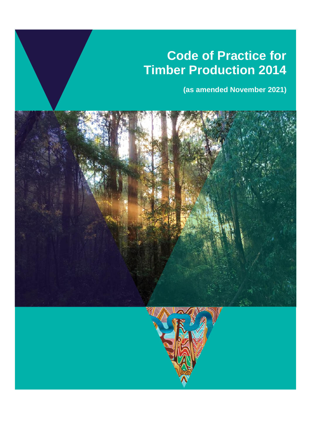# **Code of Practice for Timber Production 2014**

**(as amended November 2021)**

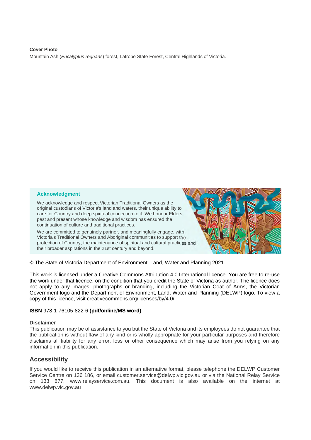## **Cover Photo**  Mountain Ash (*Eucalyptus regnans*) forest, Latrobe State Forest, Central Highlands of Victoria.

## **Acknowledgment**

We acknowledge and respect Victorian Traditional Owners as the original custodians of Victoria's land and waters, their unique ability to care for Country and deep spiritual connection to it. We honour Elders past and present whose knowledge and wisdom has ensured the continuation of culture and traditional practices.

We are committed to genuinely partner, and meaningfully engage, with Victoria's Traditional Owners and Aboriginal communities to support the protection of Country, the maintenance of spiritual and cultural practices and their broader aspirations in the 21st century and beyond.



© The State of Victoria Department of Environment, Land, Water and Planning 2021

This work is licensed under a Creative Commons Attribution 4.0 International licence. You are free to re-use the work under that licence, on the condition that you credit the State of Victoria as author. The licence does not apply to any images, photographs or branding, including the Victorian Coat of Arms, the Victorian Government logo and the Department of Environment, Land, Water and Planning (DELWP) logo. To view a copy of this licence, visit creativecommons.org/licenses/by/4.0/

#### **ISBN** 978-1-76105-822-6 **(pdf/online/MS word)**

#### **Disclaimer**

This publication may be of assistance to you but the State of Victoria and its employees do not guarantee that the publication is without flaw of any kind or is wholly appropriate for your particular purposes and therefore disclaims all liability for any error, loss or other consequence which may arise from you relying on any information in this publication.

## **Accessibility**

If you would like to receive this publication in an alternative format, please telephone the DELWP Customer Service Centre on 136 186, or email customer.service@delwp.vic.gov.au or via the National Relay Service on 133 677, www.relayservice.com.au. This document is also available on the internet at www.delwp.vic.gov.au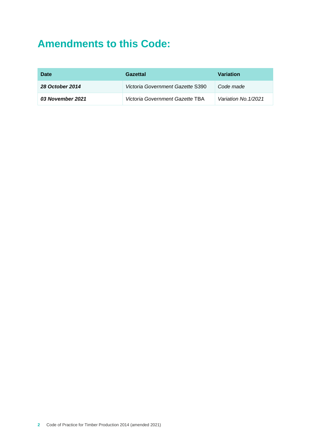## **Amendments to this Code:**

| Date                   | Gazettal                         | <b>Variation</b>     |
|------------------------|----------------------------------|----------------------|
| <b>28 October 2014</b> | Victoria Government Gazette S390 | Code made            |
| 03 November 2021       | Victoria Government Gazette TBA  | Variation No. 1/2021 |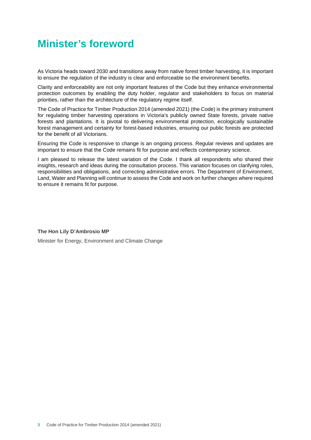## **Minister's foreword**

As Victoria heads toward 2030 and transitions away from native forest timber harvesting, it is important to ensure the regulation of the industry is clear and enforceable so the environment benefits.

Clarity and enforceability are not only important features of the Code but they enhance environmental protection outcomes by enabling the duty holder, regulator and stakeholders to focus on material priorities, rather than the architecture of the regulatory regime itself.

The Code of Practice for Timber Production 2014 (amended 2021) (the Code) is the primary instrument for regulating timber harvesting operations in Victoria's publicly owned State forests, private native forests and plantations. It is pivotal to delivering environmental protection, ecologically sustainable forest management and certainty for forest-based industries, ensuring our public forests are protected for the benefit of all Victorians.

Ensuring the Code is responsive to change is an ongoing process. Regular reviews and updates are important to ensure that the Code remains fit for purpose and reflects contemporary science.

I am pleased to release the latest variation of the Code. I thank all respondents who shared their insights, research and ideas during the consultation process. This variation focuses on clarifying roles, responsibilities and obligations, and correcting administrative errors. The Department of Environment, Land, Water and Planning will continue to assess the Code and work on further changes where required to ensure it remains fit for purpose.

## **The Hon Lily D'Ambrosio MP**

Minister for Energy, Environment and Climate Change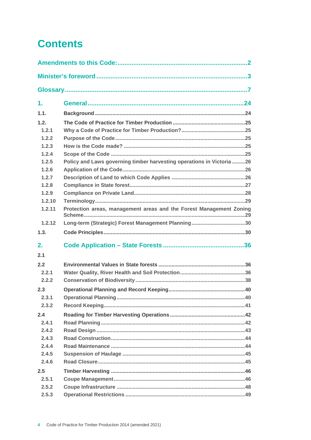# **Contents**

| 1.     |                                                                        |
|--------|------------------------------------------------------------------------|
| 1.1.   |                                                                        |
| 1.2.   |                                                                        |
| 1.2.1  |                                                                        |
| 1.2.2  |                                                                        |
| 1.2.3  |                                                                        |
| 1.2.4  |                                                                        |
| 1.2.5  | Policy and Laws governing timber harvesting operations in Victoria  26 |
| 1.2.6  |                                                                        |
| 1.2.7  |                                                                        |
| 1.2.8  |                                                                        |
| 1.2.9  |                                                                        |
| 1.2.10 |                                                                        |
| 1.2.11 | Protection areas, management areas and the Forest Management Zoning    |
| 1.2.12 |                                                                        |
| 1.3.   |                                                                        |
| 2.     |                                                                        |
|        |                                                                        |
| 2.1    |                                                                        |
| 2.2    |                                                                        |
| 2.2.1  |                                                                        |
| 2.2.2  |                                                                        |
| 2.3    |                                                                        |
| 2.3.1  |                                                                        |
| 2.3.2  |                                                                        |
| 2.4    |                                                                        |
| 2.4.1  |                                                                        |
| 2.4.2  |                                                                        |
| 2.4.3  |                                                                        |
| 2.4.4  |                                                                        |
| 2.4.5  |                                                                        |
| 2.4.6  |                                                                        |
| 2.5    |                                                                        |
| 2.5.1  |                                                                        |
| 2.5.2  |                                                                        |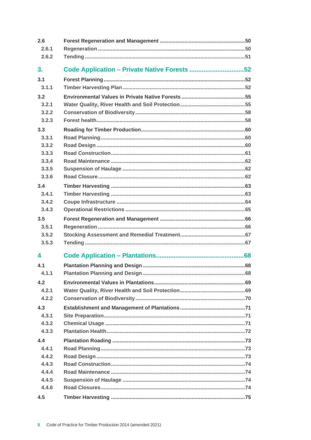| 2.6   |                                              |  |
|-------|----------------------------------------------|--|
| 2.6.1 |                                              |  |
| 2.6.2 |                                              |  |
| 3.    | Code Application - Private Native Forests 52 |  |
| 3.1   |                                              |  |
| 3.1.1 |                                              |  |
| 3.2   |                                              |  |
| 3.2.1 |                                              |  |
| 3.2.2 |                                              |  |
| 3.2.3 |                                              |  |
| 3.3   |                                              |  |
| 3.3.1 |                                              |  |
| 3.3.2 |                                              |  |
| 3.3.3 |                                              |  |
| 3.3.4 |                                              |  |
| 3.3.5 |                                              |  |
| 3.3.6 |                                              |  |
| 3.4   |                                              |  |
| 3.4.1 |                                              |  |
| 3.4.2 |                                              |  |
| 3.4.3 |                                              |  |
| 3.5   |                                              |  |
| 3.5.1 |                                              |  |
| 3.5.2 |                                              |  |
| 3.5.3 |                                              |  |
| 4     |                                              |  |
| 4.1   |                                              |  |
| 4.1.1 |                                              |  |
| 4.2   |                                              |  |
| 4.2.1 |                                              |  |
| 4.2.2 |                                              |  |
| 4.3   |                                              |  |
| 4.3.1 |                                              |  |
| 4.3.2 |                                              |  |
| 4.3.3 |                                              |  |
| 4.4   |                                              |  |
| 4.4.1 |                                              |  |
| 4.4.2 |                                              |  |
| 4.4.3 |                                              |  |
| 4.4.4 |                                              |  |
| 4.4.5 |                                              |  |
| 4.4.6 |                                              |  |
| 4.5   |                                              |  |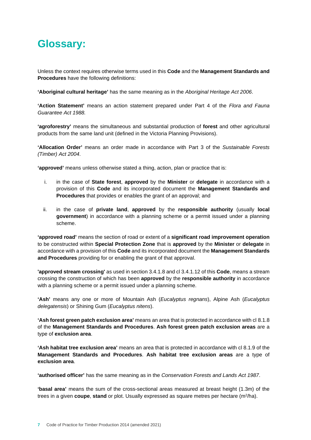## **Glossary:**

Unless the context requires otherwise terms used in this **Code** and the **Management Standards and Procedures** have the following definitions:

**'Aboriginal cultural heritage'** has the same meaning as in the *Aboriginal Heritage Act 2006*.

**'Action Statement'** means an action statement prepared under Part 4 of the *Flora and Fauna Guarantee Act 1988.*

**'agroforestry'** means the simultaneous and substantial production of **forest** and other agricultural products from the same land unit (defined in the Victoria Planning Provisions).

**'Allocation Order'** means an order made in accordance with Part 3 of the *Sustainable Forests (Timber) Act 2004*.

**'approved'** means unless otherwise stated a thing, action, plan or practice that is:

- i. in the case of **State forest**, **approved** by the **Minister** or **delegate** in accordance with a provision of this **Code** and its incorporated document the **Management Standards and Procedures** that provides or enables the grant of an approval; and
- ii. in the case of **private land**, **approved** by the **responsible authority** (usually **local government**) in accordance with a planning scheme or a permit issued under a planning scheme.

**'approved road'** means the section of road or extent of a **significant road improvement operation** to be constructed within **Special Protection Zone** that is **approved** by the **Minister** or **delegate** in accordance with a provision of this **Code** and its incorporated document the **Management Standards and Procedures** providing for or enabling the grant of that approval.

**'approved stream crossing'** as used in section 3.4.1.8 and cl 3.4.1.12 of this **Code**, means a stream crossing the construction of which has been **approved** by the **responsible authority** in accordance with a planning scheme or a permit issued under a planning scheme.

**'Ash'** means any one or more of Mountain Ash (*Eucalyptus regnans*), Alpine Ash (*Eucalyptus delegatensis*) or Shining Gum (*Eucalyptus nitens*).

**'Ash forest green patch exclusion area'** means an area that is protected in accordance with cl 8.1.8 of the **Management Standards and Procedures**. **Ash forest green patch exclusion areas** are a type of **exclusion area**.

**'Ash habitat tree exclusion area'** means an area that is protected in accordance with cl 8.1.9 of the **Management Standards and Procedures**. **Ash habitat tree exclusion areas** are a type of **exclusion area**.

**'authorised officer'** has the same meaning as in the *Conservation Forests and Lands Act 1987*.

**'basal area'** means the sum of the cross-sectional areas measured at breast height (1.3m) of the trees in a given **coupe**, stand or plot. Usually expressed as square metres per hectare (m<sup>2</sup>/ha).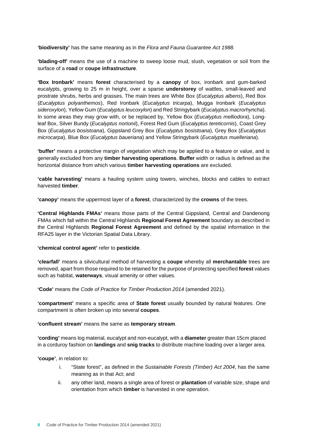**'biodiversity'** has the same meaning as in the *Flora and Fauna Guarantee Act 1988.*

**'blading-off'** means the use of a machine to sweep loose mud, slush, vegetation or soil from the surface of a **road** or **coupe infrastructure**.

**'Box Ironbark'** means **forest** characterised by a **canopy** of box, ironbark and gum-barked eucalypts, growing to 25 m in height, over a sparse **understorey** of wattles, small-leaved and prostrate shrubs, herbs and grasses. The main trees are White Box (*Eucalyptus albens*), Red Box (*Eucalyptus polyanthemos*), Red Ironbark (*Eucalyptus tricarpa*), Mugga Ironbark (*Eucalyptus sideroxylon*), Yellow Gum (*Eucalyptus leucoxylon*) and Red Stringybark (*Eucalyptus macrorhyncha*). In some areas they may grow with, or be replaced by, Yellow Box (*Eucalyptus melliodora*), Longleaf Box, Silver Bundy (*Eucalyptus nortonii*), Forest Red Gum (*Eucalyptus tereticornis*), Coast Grey Box (*Eucalyptus bosistoana*), Gippsland Grey Box (*Eucalyptus bosistoana*), Grey Box (*Eucalyptus microcarpa*), Blue Box (*Eucalyptus baueriana*) and Yellow Stringybark (*Eucalyptus muelleriana*).

**'buffer'** means a protective margin of vegetation which may be applied to a feature or value, and is generally excluded from any **timber harvesting operations**. **Buffer** width or radius is defined as the horizontal distance from which various **timber harvesting operations** are excluded.

**'cable harvesting'** means a hauling system using towers, winches, blocks and cables to extract harvested **timber**.

**'canopy'** means the uppermost layer of a **forest**, characterized by the **crowns** of the trees.

**'Central Highlands FMAs'** means those parts of the Central Gippsland, Central and Dandenong FMAs which fall within the Central Highlands **Regional Forest Agreement** boundary as described in the Central Highlands **Regional Forest Agreement** and defined by the spatial information in the RFA25 layer in the Victorian Spatial Data Library.

#### **'chemical control agent'** refer to **pesticide**.

**'clearfall'** means a silvicultural method of harvesting a **coupe** whereby all **merchantable** trees are removed, apart from those required to be retained for the purpose of protecting specified **forest** values such as habitat, **waterways**, visual amenity or other values.

**'Code'** means the *Code of Practice for Timber Production 2014* (amended 2021).

**'compartment'** means a specific area of **State forest** usually bounded by natural features. One compartment is often broken up into several **coupes**.

#### **'confluent stream'** means the same as **temporary stream**.

**'cording'** means log material, eucalypt and non-eucalypt, with a **diameter** greater than 15cm placed in a corduroy fashion on **landings** and **snig tracks** to distribute machine loading over a larger area.

**'coupe'**, in relation to:

- i. "State forest", as defined in the *Sustainable Forests (Timber) Act 2004*, has the same meaning as in that Act; and
- ii. any other land, means a single area of forest or **plantation** of variable size, shape and orientation from which **timber** is harvested in one operation.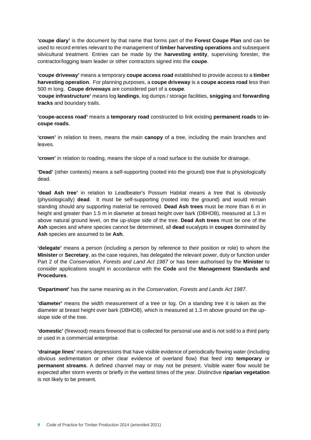**'coupe diary'** is the document by that name that forms part of the **Forest Coupe Plan** and can be used to record entries relevant to the management of **timber harvesting operations** and subsequent silvicultural treatment. Entries can be made by the **harvesting entity**, supervising forester, the contractor/logging team leader or other contractors signed into the **coupe**.

**'coupe driveway'** means a temporary **coupe access road** established to provide access to a **timber harvesting operation**. For planning purposes, a **coupe driveway** is a **coupe access road** less than 500 m long. **Coupe driveways** are considered part of a **coupe**.

**'coupe infrastructure'** means log **landings**, log dumps / storage facilities, **snigging** and **forwarding tracks** and boundary trails.

**'coupe-access road'** means a **temporary road** constructed to link existing **permanent roads** to **incoupe roads**.

**'crown'** in relation to trees, means the main **canopy** of a tree, including the main branches and leaves.

**'crown'** in relation to roading, means the slope of a road surface to the outside for drainage.

**'Dead'** (other contexts) means a self-supporting (rooted into the ground) tree that is physiologically dead.

**'dead Ash tree'** in relation to Leadbeater's Possum Habitat means a tree that is obviously (physiologically) **dead**. It must be self-supporting (rooted into the ground) and would remain standing should any supporting material be removed. **Dead Ash trees** must be more than 6 m in height and greater than 1.5 m in diameter at breast height over bark (DBHOB), measured at 1.3 m above natural ground level, on the up-slope side of the tree. **Dead Ash trees** must be one of the **Ash** species and where species cannot be determined, all **dead** eucalypts in **coupes** dominated by **Ash** species are assumed to be **Ash**.

**'delegate'** means a person (including a person by reference to their position or role) to whom the **Minister** or **Secretary**, as the case requires, has delegated the relevant power, duty or function under Part 2 of the *Conservation, Forests and Land Act 1987* or has been authorised by the **Minister** to consider applications sought in accordance with the **Code** and the **Management Standards and Procedures**.

**'Department'** has the same meaning as in the *Conservation, Forests and Lands Act 1987*.

**'diameter'** means the width measurement of a tree or log. On a standing tree it is taken as the diameter at breast height over bark (DBHOB), which is measured at 1.3 m above ground on the upslope side of the tree.

**'domestic'** (firewood) means firewood that is collected for personal use and is not sold to a third party or used in a commercial enterprise.

**'drainage lines'** means depressions that have visible evidence of periodically flowing water (including obvious sedimentation or other clear evidence of overland flow) that feed into **temporary** or **permanent streams**. A defined channel may or may not be present. Visible water flow would be expected after storm events or briefly in the wettest times of the year. Distinctive **riparian vegetation** is not likely to be present.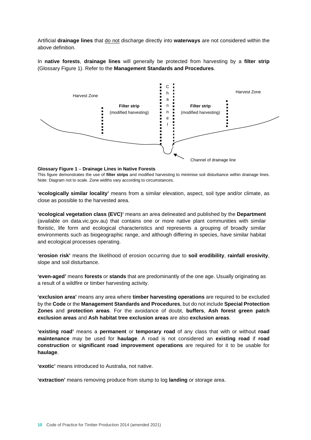Artificial **drainage lines** that do not discharge directly into **waterways** are not considered within the above definition.

In **native forests**, **drainage lines** will generally be protected from harvesting by a **filter strip** (Glossary Figure 1). Refer to the **Management Standards and Procedures**.



#### **Glossary Figure 1** – **Drainage Lines in Native Forests**

This figure demonstrates the use of **filter strips** and modified harvesting to minimise soil disturbance within drainage lines. Note: Diagram not to scale. Zone widths vary according to circumstances.

**'ecologically similar locality'** means from a similar elevation, aspect, soil type and/or climate, as close as possible to the harvested area.

**'ecological vegetation class (EVC)'** means an area delineated and published by the **Department** (available on data.vic.gov.au) that contains one or more native plant communities with similar floristic, life form and ecological characteristics and represents a grouping of broadly similar environments such as biogeographic range, and although differing in species, have similar habitat and ecological processes operating.

**'erosion risk'** means the likelihood of erosion occurring due to **soil erodibility**, **rainfall erosivity**, slope and soil disturbance.

**'even-aged'** means **forests** or **stands** that are predominantly of the one age. Usually originating as a result of a wildfire or timber harvesting activity.

**'exclusion area'** means any area where **timber harvesting operations** are required to be excluded by the **Code** or the **Management Standards and Procedures**, but do not include **Special Protection Zones** and **protection areas**. For the avoidance of doubt, **buffers**, **Ash forest green patch exclusion areas** and **Ash habitat tree exclusion areas** are also **exclusion areas**.

**'existing road'** means a **permanent** or **temporary road** of any class that with or without **road maintenance** may be used for **haulage**. A road is not considered an **existing road** if **road construction** or **significant road improvement operations** are required for it to be usable for **haulage**.

**'exotic'** means introduced to Australia, not native.

**'extraction'** means removing produce from stump to log **landing** or storage area.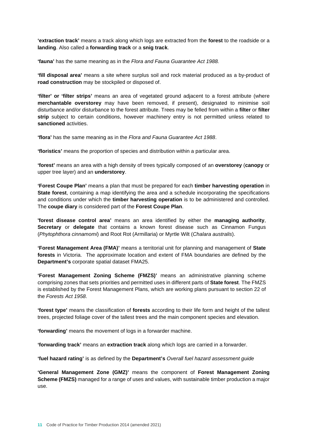**'extraction track'** means a track along which logs are extracted from the **forest** to the roadside or a **landing**. Also called a **forwarding track** or a **snig track**.

**'fauna'** has the same meaning as in the *Flora and Fauna Guarantee Act 1988.*

**'fill disposal area'** means a site where surplus soil and rock material produced as a by-product of **road construction** may be stockpiled or disposed of.

**'filter' or 'filter strips'** means an area of vegetated ground adjacent to a forest attribute (where **merchantable overstorey** may have been removed, if present), designated to minimise soil disturbance and/or disturbance to the forest attribute. Trees may be felled from within a **filter** or **filter strip** subject to certain conditions, however machinery entry is not permitted unless related to **sanctioned** activities.

**'flora'** has the same meaning as in the *Flora and Fauna Guarantee Act 1988*.

**'floristics'** means the proportion of species and distribution within a particular area.

**'forest'** means an area with a high density of trees typically composed of an **overstorey** (**canopy** or upper tree layer) and an **understorey**.

**'Forest Coupe Plan'** means a plan that must be prepared for each **timber harvesting operation** in **State forest**, containing a map identifying the area and a schedule incorporating the specifications and conditions under which the **timber harvesting operation** is to be administered and controlled. The **coupe diary** is considered part of the **Forest Coupe Plan**.

**'forest disease control area'** means an area identified by either the **managing authority**, **Secretary** or **delegate** that contains a known forest disease such as Cinnamon Fungus (*Phytophthora cinnamomi*) and Root Rot (Armillaria) or Myrtle Wilt (*Chalara australis*).

**'Forest Management Area (FMA)'** means a territorial unit for planning and management of **State forests** in Victoria. The approximate location and extent of FMA boundaries are defined by the **Department's** corporate spatial dataset FMA25.

**'Forest Management Zoning Scheme (FMZS)'** means an administrative planning scheme comprising zones that sets priorities and permitted uses in different parts of **State forest**. The FMZS is established by the Forest Management Plans, which are working plans pursuant to section 22 of the *Forests Act 1958*.

**'forest type'** means the classification of **forests** according to their life form and height of the tallest trees, projected foliage cover of the tallest trees and the main component species and elevation.

**'forwarding'** means the movement of logs in a forwarder machine.

**'forwarding track'** means an **extraction track** along which logs are carried in a forwarder.

**'fuel hazard rating'** is as defined by the **Department's** *Overall fuel hazard assessment guide*

**'General Management Zone (GMZ)'** means the component of **Forest Management Zoning Scheme (FMZS)** managed for a range of uses and values, with sustainable timber production a major use.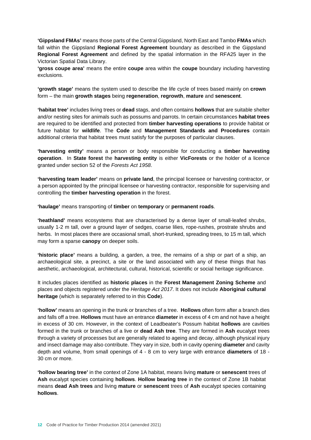**'Gippsland FMAs'** means those parts of the Central Gippsland, North East and Tambo **FMAs** which fall within the Gippsland **Regional Forest Agreement** boundary as described in the Gippsland **Regional Forest Agreement** and defined by the spatial information in the RFA25 layer in the Victorian Spatial Data Library.

**'gross coupe area'** means the entire **coupe** area within the **coupe** boundary including harvesting exclusions.

**'growth stage'** means the system used to describe the life cycle of trees based mainly on **crown** form – the main **growth stages** being **regeneration**, **regrowth**, **mature** and **senescent**.

**'habitat tree'** includes living trees or **dead** stags, and often contains **hollows** that are suitable shelter and/or nesting sites for animals such as possums and parrots. In certain circumstances **habitat trees** are required to be identified and protected from **timber harvesting operations** to provide habitat or future habitat for **wildlife**. The **Code** and **Management Standards and Procedures** contain additional criteria that habitat trees must satisfy for the purposes of particular clauses.

**'harvesting entity'** means a person or body responsible for conducting a **timber harvesting operation**. In **State forest** the **harvesting entity** is either **VicForests** or the holder of a licence granted under section 52 of the *Forests Act 1958*.

**'harvesting team leader'** means on **private land**, the principal licensee or harvesting contractor, or a person appointed by the principal licensee or harvesting contractor, responsible for supervising and controlling the **timber harvesting operation** in the forest.

**'haulage'** means transporting of **timber** on **temporary** or **permanent roads**.

**'heathland'** means ecosystems that are characterised by a dense layer of small-leafed shrubs, usually 1-2 m tall, over a ground layer of sedges, coarse lilies, rope-rushes, prostrate shrubs and herbs. In most places there are occasional small, short-trunked, spreading trees, to 15 m tall, which may form a sparse **canopy** on deeper soils.

**'historic place'** means a building, a garden, a tree, the remains of a ship or part of a ship, an archaeological site, a precinct, a site or the land associated with any of these things that has aesthetic, archaeological, architectural, cultural, historical, scientific or social heritage significance.

It includes places identified as **historic places** in the **Forest Management Zoning Scheme** and places and objects registered under the *Heritage Act 2017*. It does not include **Aboriginal cultural heritage** (which is separately referred to in this **Code**).

**'hollow'** means an opening in the trunk or branches of a tree. **Hollows** often form after a branch dies and falls off a tree. **Hollows** must have an entrance **diameter** in excess of 4 cm and not have a height in excess of 30 cm. However, in the context of Leadbeater's Possum habitat **hollows** are cavities formed in the trunk or branches of a live or **dead Ash tree**. They are formed in **Ash** eucalypt trees through a variety of processes but are generally related to ageing and decay, although physical injury and insect damage may also contribute. They vary in size, both in cavity opening **diameter** and cavity depth and volume, from small openings of 4 - 8 cm to very large with entrance **diameters** of 18 - 30 cm or more.

**'hollow bearing tree'** in the context of Zone 1A habitat, means living **mature** or **senescent** trees of **Ash** eucalypt species containing **hollows**. **Hollow bearing tree** in the context of Zone 1B habitat means **dead Ash trees** and living **mature** or **senescent** trees of **Ash** eucalypt species containing **hollows**.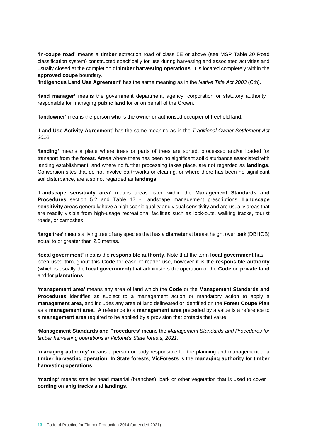**'in-coupe road'** means a **timber** extraction road of class 5E or above (see MSP Table 20 Road classification system) constructed specifically for use during harvesting and associated activities and usually closed at the completion of **timber harvesting operations**. It is located completely within the **approved coupe** boundary.

**'Indigenous Land Use Agreement'** has the same meaning as in the *Native Title Act 2003* (Cth).

**'land manager'** means the government department, agency, corporation or statutory authority responsible for managing **public land** for or on behalf of the Crown.

**'landowner'** means the person who is the owner or authorised occupier of freehold land.

'**Land Use Activity Agreement**' has the same meaning as in the *Traditional Owner Settlement Act 2010*.

**'landing'** means a place where trees or parts of trees are sorted, processed and/or loaded for transport from the **forest**. Areas where there has been no significant soil disturbance associated with landing establishment, and where no further processing takes place, are not regarded as **landings**. Conversion sites that do not involve earthworks or clearing, or where there has been no significant soil disturbance, are also not regarded as **landings**.

**'Landscape sensitivity area'** means areas listed within the **Management Standards and Procedures** section 5.2 and Table 17 - Landscape management prescriptions. **Landscape sensitivity areas** generally have a high scenic quality and visual sensitivity and are usually areas that are readily visible from high-usage recreational facilities such as look-outs, walking tracks, tourist roads, or campsites.

**'large tree'** means a living tree of any species that has a **diameter** at breast height over bark (DBHOB) equal to or greater than 2.5 metres.

**'local government'** means the **responsible authority**. Note that the term **local government** has been used throughout this **Code** for ease of reader use, however it is the **responsible authority** (which is usually the **local government**) that administers the operation of the **Code** on **private land** and for **plantations**.

**'management area'** means any area of land which the **Code** or the **Management Standards and Procedures** identifies as subject to a management action or mandatory action to apply a **management area**, and includes any area of land delineated or identified on the **Forest Coupe Plan** as a **management area**. A reference to a **management area** preceded by a value is a reference to a **management area** required to be applied by a provision that protects that value.

**'Management Standards and Procedures'** means the *Management Standards and Procedures for timber harvesting operations in Victoria's State forests, 2021.*

**'managing authority'** means a person or body responsible for the planning and management of a **timber harvesting operation**. In **State forests**, **VicForests** is the **managing authority** for **timber harvesting operations**.

**'matting'** means smaller head material (branches), bark or other vegetation that is used to cover **cording** on **snig tracks** and **landings**.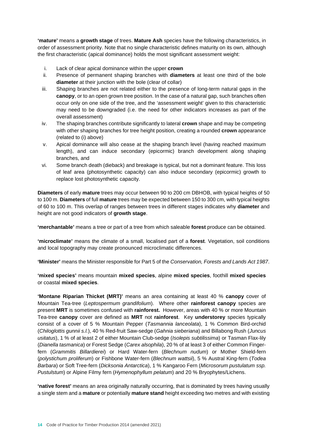**'mature'** means a **growth stage** of trees. **Mature Ash** species have the following characteristics, in order of assessment priority. Note that no single characteristic defines maturity on its own, although the first characteristic (apical dominance) holds the most significant assessment weight:

- i. Lack of clear apical dominance within the upper **crown**
- ii. Presence of permanent shaping branches with **diameters** at least one third of the bole **diameter** at their junction with the bole (clear of collar)
- iii. Shaping branches are not related either to the presence of long-term natural gaps in the **canopy**, or to an open grown tree position. In the case of a natural gap, such branches often occur only on one side of the tree, and the 'assessment weight' given to this characteristic may need to be downgraded (i.e. the need for other indicators increases as part of the overall assessment)
- iv. The shaping branches contribute significantly to lateral **crown** shape and may be competing with other shaping branches for tree height position, creating a rounded **crown** appearance (related to (i) above)
- v. Apical dominance will also cease at the shaping branch level (having reached maximum length), and can induce secondary (epicormic) branch development along shaping branches, and
- vi. Some branch death (dieback) and breakage is typical, but not a dominant feature. This loss of leaf area (photosynthetic capacity) can also induce secondary (epicormic) growth to replace lost photosynthetic capacity.

**Diameters** of early **mature** trees may occur between 90 to 200 cm DBHOB, with typical heights of 50 to 100 m. **Diameters** of full **mature** trees may be expected between 150 to 300 cm, with typical heights of 60 to 100 m. This overlap of ranges between trees in different stages indicates why **diameter** and height are not good indicators of **growth stage**.

**'merchantable'** means a tree or part of a tree from which saleable **forest** produce can be obtained.

**'microclimate'** means the climate of a small, localised part of a **forest**. Vegetation, soil conditions and local topography may create pronounced microclimatic differences.

**'Minister'** means the Minister responsible for Part 5 of the *Conservation, Forests and Lands Act 1987*.

**'mixed species'** means mountain **mixed species**, alpine **mixed species**, foothill **mixed species** or coastal **mixed species**.

**'Montane Riparian Thicket (MRT)'** means an area containing at least 40 % **canopy** cover of Mountain Tea-tree (*Leptospermum grandifolium*). Where other **rainforest canopy** species are present **MRT** is sometimes confused with **rainforest.** However, areas with 40 % or more Mountain Tea-tree **canopy** cover are defined as **MRT** not **rainforest**. Key **understorey** species typically consist of a cover of 5 % Mountain Pepper (*Tasmannia lanceolata*), 1 % Common Bird-orchid (*Chiloglottis gunnii s.l.*), 40 % Red-fruit Saw-sedge (*Gahnia sieberiana*) and Billabong Rush (*Juncus usitatus*), 1 % of at least 2 of either Mountain Club-sedge (*Isolepis subtilissima*) or Tasman Flax-lily (*Dianella tasmanica*) or Forest Sedge (*Carex alsophila*), 20 % of at least 3 of either Common Fingerfern (*Grammitis Billardierei*) or Hard Water-fern (*Blechnum nudum*) or Mother Shield-fern (*polystichum proliferum*) or Fishbone Water-fern (*Blechnum wattsii*), 5 % Austral King-fern (*Todea Barbara*) or Soft Tree-fern (*Dicksonia Antarctica*), 1 % Kangaroo Fern (*Microsorum pustulatum ssp. Pustulstum*) or Alpine Filmy fern (*Hymenophyllum pelatum*) and 20 % Bryophytes/Lichens.

**'native forest'** means an area originally naturally occurring, that is dominated by trees having usually a single stem and a **mature** or potentially **mature stand** height exceeding two metres and with existing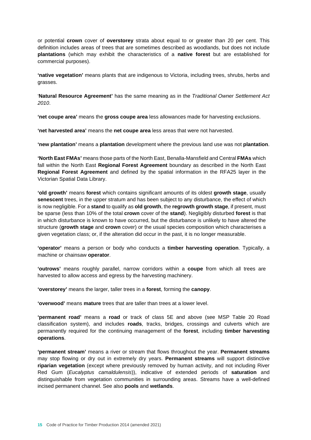or potential **crown** cover of **overstorey** strata about equal to or greater than 20 per cent. This definition includes areas of trees that are sometimes described as woodlands, but does not include **plantations** (which may exhibit the characteristics of a **native forest** but are established for commercial purposes).

**'native vegetation'** means plants that are indigenous to Victoria, including trees, shrubs, herbs and grasses.

'**Natural Resource Agreement'** has the same meaning as in the *Traditional Owner Settlement Act 2010*.

**'net coupe area'** means the **gross coupe area** less allowances made for harvesting exclusions.

**'net harvested area'** means the **net coupe area** less areas that were not harvested.

**'new plantation'** means a **plantation** development where the previous land use was not **plantation**.

**'North East FMAs'** means those parts of the North East, Benalla-Mansfield and Central **FMAs** which fall within the North East **Regional Forest Agreement** boundary as described in the North East **Regional Forest Agreement** and defined by the spatial information in the RFA25 layer in the Victorian Spatial Data Library.

**'old growth'** means **forest** which contains significant amounts of its oldest **growth stage**, usually **senescent** trees, in the upper stratum and has been subject to any disturbance, the effect of which is now negligible. For a **stand** to qualify as **old growth**, the **regrowth growth stage**, if present, must be sparse (less than 10% of the total **crown** cover of the **stand**). Negligibly disturbed **forest** is that in which disturbance is known to have occurred, but the disturbance is unlikely to have altered the structure (**growth stage** and **crown** cover) or the usual species composition which characterises a given vegetation class; or, if the alteration did occur in the past, it is no longer measurable.

**'operator'** means a person or body who conducts a **timber harvesting operation**. Typically, a machine or chainsaw **operator**.

**'outrows'** means roughly parallel, narrow corridors within a **coupe** from which all trees are harvested to allow access and egress by the harvesting machinery.

**'overstorey'** means the larger, taller trees in a **forest**, forming the **canopy**.

**'overwood'** means **mature** trees that are taller than trees at a lower level.

**'permanent road'** means a **road** or track of class 5E and above (see MSP Table 20 Road classification system), and includes **roads**, tracks, bridges, crossings and culverts which are permanently required for the continuing management of the **forest**, including **timber harvesting operations**.

**'permanent stream'** means a river or stream that flows throughout the year. **Permanent streams** may stop flowing or dry out in extremely dry years. **Permanent streams** will support distinctive **riparian vegetation** (except where previously removed by human activity, and not including River Red Gum (*Eucalyptus camaldulensis*)), indicative of extended periods of **saturation** and distinguishable from vegetation communities in surrounding areas. Streams have a well-defined incised permanent channel. See also **pools** and **wetlands**.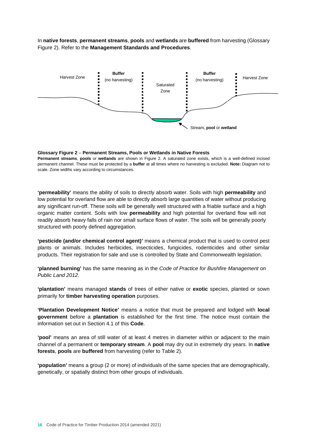In **native forests**, **permanent streams**, **pools** and **wetlands** are **buffered** from harvesting (Glossary Figure 2). Refer to the **Management Standards and Procedures**.



#### **Glossary Figure 2** – **Permanent Streams, Pools or Wetlands in Native Forests**

**Permanent streams**, **pools** or **wetlands** are shown in Figure 2. A saturated zone exists, which is a well-defined incised permanent channel. These must be protected by a **buffer** at all times where no harvesting is excluded. **Note:** Diagram not to scale. Zone widths vary according to circumstances.

**'permeability'** means the ability of soils to directly absorb water. Soils with high **permeability** and low potential for overland flow are able to directly absorb large quantities of water without producing any significant run-off. These soils will be generally well structured with a friable surface and a high organic matter content. Soils with low **permeability** and high potential for overland flow will not readily absorb heavy falls of rain nor small surface flows of water. The soils will be generally poorly structured with poorly defined aggregation.

**'pesticide (and/or chemical control agent)'** means a chemical product that is used to control pest plants or animals. Includes herbicides, insecticides, fungicides, rodenticides and other similar products. Their registration for sale and use is controlled by State and Commonwealth legislation.

**'planned burning'** has the same meaning as in the *Code of Practice for Bushfire Management on Public Land 2012*.

**'plantation'** means managed **stands** of trees of either native or **exotic** species, planted or sown primarily for **timber harvesting operation** purposes.

**'Plantation Development Notice'** means a notice that must be prepared and lodged with **local government** before a **plantation** is established for the first time. The notice must contain the information set out in Section 4.1 of this **Code**.

**'pool'** means an area of still water of at least 4 metres in diameter within or adjacent to the main channel of a permanent or **temporary stream**. A **pool** may dry out in extremely dry years. In **native forests**, **pools** are **buffered** from harvesting (refer to Table 2).

**'population'** means a group (2 or more) of individuals of the same species that are demographically, genetically, or spatially distinct from other groups of individuals.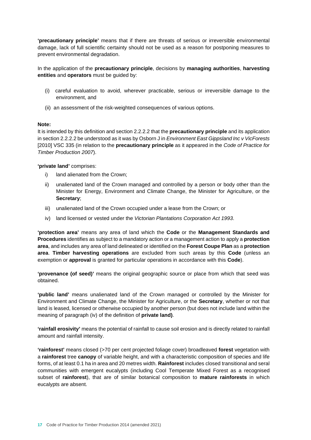**'precautionary principle'** means that if there are threats of serious or irreversible environmental damage, lack of full scientific certainty should not be used as a reason for postponing measures to prevent environmental degradation.

In the application of the **precautionary principle**, decisions by **managing authorities**, **harvesting entities** and **operators** must be guided by:

- (i) careful evaluation to avoid, wherever practicable, serious or irreversible damage to the environment, and
- (ii) an assessment of the risk-weighted consequences of various options.

## **Note:**

It is intended by this definition and section 2.2.2.2 that the **precautionary principle** and its application in section 2.2.2.2 be understood as it was by Osborn J in *Environment East Gippsland Inc v VicForests* [2010] VSC 335 (in relation to the **precautionary principle** as it appeared in the *Code of Practice for Timber Production 2007*).

**'private land'** comprises:

- i) land alienated from the Crown;
- ii) unalienated land of the Crown managed and controlled by a person or body other than the Minister for Energy, Environment and Climate Change, the Minister for Agriculture, or the **Secretary**;
- iii) unalienated land of the Crown occupied under a lease from the Crown; or
- iv) land licensed or vested under the *Victorian Plantations Corporation Act 1993*.

**'protection area'** means any area of land which the **Code** or the **Management Standards and Procedures** identifies as subject to a mandatory action or a management action to apply a **protection area**, and includes any area of land delineated or identified on the **Forest Coupe Plan** as a **protection area**. **Timber harvesting operations** are excluded from such areas by this **Code** (unless an exemption or **approval** is granted for particular operations in accordance with this **Code**).

**'provenance (of seed)'** means the original geographic source or place from which that seed was obtained.

**'public land'** means unalienated land of the Crown managed or controlled by the Minister for Environment and Climate Change, the Minister for Agriculture, or the **Secretary**, whether or not that land is leased, licensed or otherwise occupied by another person (but does not include land within the meaning of paragraph (iv) of the definition of **private land)**.

**'rainfall erosivity'** means the potential of rainfall to cause soil erosion and is directly related to rainfall amount and rainfall intensity.

**'rainforest'** means closed (>70 per cent projected foliage cover) broadleaved **forest** vegetation with a **rainforest** tree **canopy** of variable height, and with a characteristic composition of species and life forms, of at least 0.1 ha in area and 20 metres width. **Rainforest** includes closed transitional and seral communities with emergent eucalypts (including Cool Temperate Mixed Forest as a recognised subset of **rainforest**), that are of similar botanical composition to **mature rainforests** in which eucalypts are absent.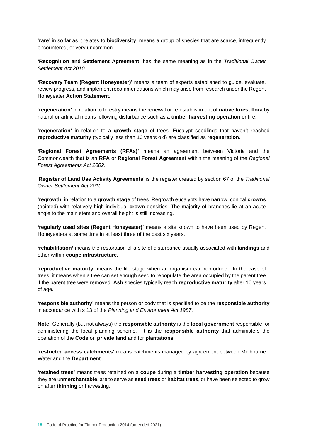**'rare'** in so far as it relates to **biodiversity**, means a group of species that are scarce, infrequently encountered, or very uncommon.

**'Recognition and Settlement Agreement'** has the same meaning as in the *Traditional Owner Settlement Act 2010*.

**'Recovery Team (Regent Honeyeater)'** means a team of experts established to guide, evaluate, review progress, and implement recommendations which may arise from research under the Regent Honeyeater **Action Statement**.

**'regeneration'** in relation to forestry means the renewal or re-establishment of **native forest flora** by natural or artificial means following disturbance such as a **timber harvesting operation** or fire.

**'regeneration'** in relation to a **growth stage** of trees. Eucalypt seedlings that haven't reached **reproductive maturity** (typically less than 10 years old) are classified as **regeneration**.

**'Regional Forest Agreements (RFAs)'** means an agreement between Victoria and the Commonwealth that is an **RFA** or **Regional Forest Agreement** within the meaning of the *Regional Forest Agreements Act 2002*.

'**Register of Land Use Activity Agreements**' is the register created by section 67 of the *Traditional Owner Settlement Act 2010*.

**'regrowth'** in relation to a **growth stage** of trees. Regrowth eucalypts have narrow, conical **crowns** (pointed) with relatively high individual **crown** densities. The majority of branches lie at an acute angle to the main stem and overall height is still increasing.

**'regularly used sites (Regent Honeyeater)'** means a site known to have been used by Regent Honeyeaters at some time in at least three of the past six years.

**'rehabilitation'** means the restoration of a site of disturbance usually associated with **landings** and other within-**coupe infrastructure**.

**'reproductive maturity'** means the life stage when an organism can reproduce. In the case of trees, it means when a tree can set enough seed to repopulate the area occupied by the parent tree if the parent tree were removed. **Ash** species typically reach **reproductive maturity** after 10 years of age.

**'responsible authority'** means the person or body that is specified to be the **responsible authority** in accordance with s 13 of the *Planning and Environment Act 1987*.

**Note:** Generally (but not always) the **responsible authority** is the **local government** responsible for administering the local planning scheme. It is the **responsible authority** that administers the operation of the **Code** on **private land** and for **plantations**.

**'restricted access catchments'** means catchments managed by agreement between Melbourne Water and the **Department**.

**'retained trees'** means trees retained on a **coupe** during a **timber harvesting operation** because they are un**merchantable**, are to serve as **seed trees** or **habitat trees**, or have been selected to grow on after **thinning** or harvesting.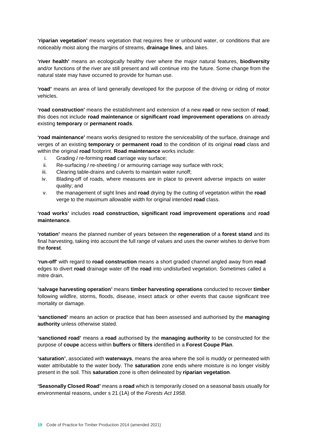**'riparian vegetation'** means vegetation that requires free or unbound water, or conditions that are noticeably moist along the margins of streams, **drainage lines**, and lakes.

**'river health'** means an ecologically healthy river where the major natural features, **biodiversity** and/or functions of the river are still present and will continue into the future. Some change from the natural state may have occurred to provide for human use.

**'road'** means an area of land generally developed for the purpose of the driving or riding of motor vehicles.

**'road construction'** means the establishment and extension of a new **road** or new section of **road**; this does not include **road maintenance** or **significant road improvement operations** on already existing **temporary** or **permanent roads**.

**'road maintenance'** means works designed to restore the serviceability of the surface, drainage and verges of an existing **temporary** or **permanent road** to the condition of its original **road** class and within the original **road** footprint. **Road maintenance** works include:

- i. Grading / re-forming **road** carriage way surface;
- ii. Re-surfacing / re-sheeting / or armouring carriage way surface with rock;
- iii. Clearing table-drains and culverts to maintain water runoff;
- iv. Blading-off of roads, where measures are in place to prevent adverse impacts on water quality; and
- v. the management of sight lines and **road** drying by the cutting of vegetation within the **road** verge to the maximum allowable width for original intended **road** class.

**'road works'** includes **road construction, significant road improvement operations** and **road maintenance***.*

**'rotation'** means the planned number of years between the **regeneration** of a **forest stand** and its final harvesting, taking into account the full range of values and uses the owner wishes to derive from the **forest**.

**'run-off'** with regard to **road construction** means a short graded channel angled away from **road** edges to divert **road** drainage water off the **road** into undisturbed vegetation. Sometimes called a mitre drain.

**'salvage harvesting operation'** means **timber harvesting operations** conducted to recover **timber** following wildfire, storms, floods, disease, insect attack or other events that cause significant tree mortality or damage.

**'sanctioned'** means an action or practice that has been assessed and authorised by the **managing authority** unless otherwise stated.

**'sanctioned road'** means a **road** authorised by the **managing authority** to be constructed for the purpose of **coupe** access within **buffers** or **filters** identified in a **Forest Coupe Plan**.

**'saturation'**, associated with **waterways**, means the area where the soil is muddy or permeated with water attributable to the water body. The **saturation** zone ends where moisture is no longer visibly present in the soil. This **saturation** zone is often delineated by **riparian vegetation**.

**'Seasonally Closed Road'** means a **road** which is temporarily closed on a seasonal basis usually for environmental reasons, under s 21 (1A) of the *Forests Act 1958*.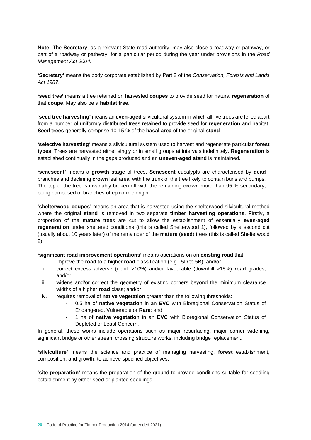**Note:** The **Secretary**, as a relevant State road authority, may also close a roadway or pathway, or part of a roadway or pathway, for a particular period during the year under provisions in the *Road Management Act 2004.* 

**'Secretary'** means the body corporate established by Part 2 of the *Conservation, Forests and Lands Act 1987*.

**'seed tree'** means a tree retained on harvested **coupes** to provide seed for natural **regeneration** of that **coupe**. May also be a **habitat tree**.

**'seed tree harvesting'** means an **even-aged** silvicultural system in which all live trees are felled apart from a number of uniformly distributed trees retained to provide seed for **regeneration** and habitat. **Seed trees** generally comprise 10-15 % of the **basal area** of the original **stand**.

**'selective harvesting'** means a silvicultural system used to harvest and regenerate particular **forest types**. Trees are harvested either singly or in small groups at intervals indefinitely. **Regeneration** is established continually in the gaps produced and an **uneven-aged stand** is maintained.

**'senescent'** means a **growth stage** of trees. **Senescent** eucalypts are characterised by **dead** branches and declining **crown** leaf area, with the trunk of the tree likely to contain burls and bumps. The top of the tree is invariably broken off with the remaining **crown** more than 95 % secondary, being composed of branches of epicormic origin.

**'shelterwood coupes'** means an area that is harvested using the shelterwood silvicultural method where the original **stand** is removed in two separate **timber harvesting operations**. Firstly, a proportion of the **mature** trees are cut to allow the establishment of essentially **even-aged regeneration** under sheltered conditions (this is called Shelterwood 1), followed by a second cut (usually about 10 years later) of the remainder of the **mature** (**seed**) trees (this is called Shelterwood 2).

### **'significant road improvement operations'** means operations on an **existing road** that

- i. improve the **road** to a higher **road** classification (e.g., 5D to 5B); and/or
- ii. correct excess adverse (uphill >10%) and/or favourable (downhill >15%) **road** grades; and/or
- iii. widens and/or correct the geometry of existing corners beyond the minimum clearance widths of a higher **road** class; and/or
- iv. requires removal of **native vegetation** greater than the following thresholds:
	- 0.5 ha of **native vegetation** in an **EVC** with Bioregional Conservation Status of Endangered, Vulnerable or **Rare**: and
	- 1 ha of **native vegetation** in an **EVC** with Bioregional Conservation Status of Depleted or Least Concern.

In general, these works include operations such as major resurfacing, major corner widening, significant bridge or other stream crossing structure works, including bridge replacement.

**'silviculture'** means the science and practice of managing harvesting, **forest** establishment, composition, and growth, to achieve specified objectives.

**'site preparation'** means the preparation of the ground to provide conditions suitable for seedling establishment by either seed or planted seedlings.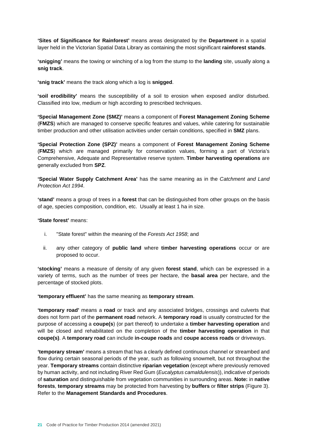**'Sites of Significance for Rainforest'** means areas designated by the **Department** in a spatial layer held in the Victorian Spatial Data Library as containing the most significant **rainforest stands**.

**'snigging'** means the towing or winching of a log from the stump to the **landing** site, usually along a **snig track**.

**'snig track'** means the track along which a log is **snigged**.

**'soil erodibility'** means the susceptibility of a soil to erosion when exposed and/or disturbed. Classified into low, medium or high according to prescribed techniques.

**'Special Management Zone (SMZ)'** means a component of **Forest Management Zoning Scheme** (**FMZS**) which are managed to conserve specific features and values, while catering for sustainable timber production and other utilisation activities under certain conditions, specified in **SMZ** plans.

**'Special Protection Zone (SPZ)'** means a component of **Forest Management Zoning Scheme** (**FMZS**) which are managed primarily for conservation values, forming a part of Victoria's Comprehensive, Adequate and Representative reserve system. **Timber harvesting operations** are generally excluded from **SPZ**.

**'Special Water Supply Catchment Area'** has the same meaning as in the *Catchment and Land Protection Act 1994*.

**'stand'** means a group of trees in a **forest** that can be distinguished from other groups on the basis of age, species composition, condition, etc. Usually at least 1 ha in size.

**'State forest'** means:

- i. "State forest" within the meaning of the *Forests Act 1958*; and
- ii. any other category of **public land** where **timber harvesting operations** occur or are proposed to occur.

**'stocking'** means a measure of density of any given **forest stand**, which can be expressed in a variety of terms, such as the number of trees per hectare, the **basal area** per hectare, and the percentage of stocked plots.

**'temporary effluent'** has the same meaning as **temporary stream**.

**'temporary road'** means a **road** or track and any associated bridges, crossings and culverts that does not form part of the **permanent road** network. A **temporary road** is usually constructed for the purpose of accessing a **coupe(s**) (or part thereof) to undertake a **timber harvesting operation** and will be closed and rehabilitated on the completion of the **timber harvesting operation** in that **coupe(s)**. A **temporary road** can include **in-coupe roads** and **coupe access roads** or driveways.

**'temporary stream'** means a stream that has a clearly defined continuous channel or streambed and flow during certain seasonal periods of the year, such as following snowmelt, but not throughout the year. **Temporary streams** contain distinctive **riparian vegetation** (except where previously removed by human activity, and not including River Red Gum (*Eucalyptus camaldulensis*)), indicative of periods of **saturation** and distinguishable from vegetation communities in surrounding areas. **Note:** in **native forests**, **temporary streams** may be protected from harvesting by **buffers** or **filter strips** (Figure 3). Refer to the **Management Standards and Procedures**.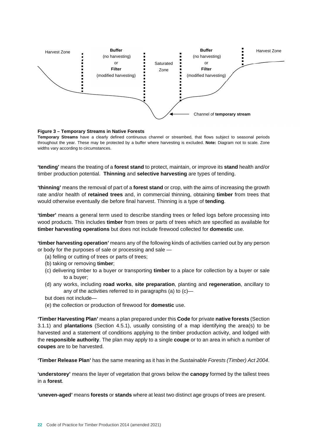

#### **Figure 3 – Temporary Streams in Native Forests**

**Temporary Streams** have a clearly defined continuous channel or streambed, that flows subject to seasonal periods throughout the year. These may be protected by a buffer where harvesting is excluded. **Note:** Diagram not to scale. Zone widths vary according to circumstances.

**'tending'** means the treating of a **forest stand** to protect, maintain, or improve its **stand** health and/or timber production potential. **Thinning** and **selective harvesting** are types of tending.

**'thinning'** means the removal of part of a **forest stand** or crop, with the aims of increasing the growth rate and/or health of **retained trees** and, in commercial thinning, obtaining **timber** from trees that would otherwise eventually die before final harvest. Thinning is a type of **tending**.

**'timber'** means a general term used to describe standing trees or felled logs before processing into wood products. This includes **timber** from trees or parts of trees which are specified as available for **timber harvesting operations** but does not include firewood collected for **domestic** use.

**'timber harvesting operation'** means any of the following kinds of activities carried out by any person or body for the purposes of sale or processing and sale —

- (a) felling or cutting of trees or parts of trees;
- (b) taking or removing **timber**;
- (c) delivering timber to a buyer or transporting **timber** to a place for collection by a buyer or sale to a buyer;
- (d) any works, including **road works**, **site preparation**, planting and **regeneration**, ancillary to any of the activities referred to in paragraphs (a) to (c)—
- but does not include—
- (e) the collection or production of firewood for **domestic** use.

**'Timber Harvesting Plan'** means a plan prepared under this **Code** for private **native forests** (Section 3.1.1) and **plantations** (Section 4.5.1), usually consisting of a map identifying the area(s) to be harvested and a statement of conditions applying to the timber production activity, and lodged with the **responsible authority**. The plan may apply to a single **coupe** or to an area in which a number of **coupes** are to be harvested.

**'Timber Release Plan'** has the same meaning as it has in the *Sustainable Forests (Timber) Act 2004*.

**'understorey'** means the layer of vegetation that grows below the **canopy** formed by the tallest trees in a **forest**.

**'uneven-aged'** means **forests** or **stands** where at least two distinct age groups of trees are present.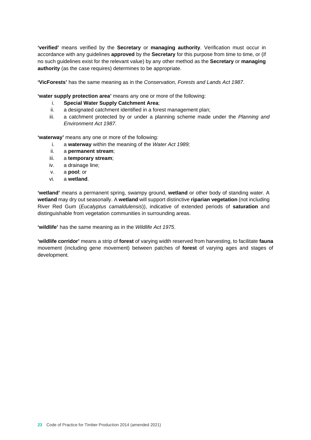**'verified'** means verified by the **Secretary** or **managing authority**. Verification must occur in accordance with any guidelines **approved** by the **Secretary** for this purpose from time to time, or (if no such guidelines exist for the relevant value) by any other method as the **Secretary** or **managing authority** (as the case requires) determines to be appropriate.

**'VicForests'** has the same meaning as in the *Conservation, Forests and Lands Act 1987*.

**'water supply protection area'** means any one or more of the following:

- i. **Special Water Supply Catchment Area**;
- ii. a designated catchment identified in a forest management plan;
- iii. a catchment protected by or under a planning scheme made under the *Planning and Environment Act 1987*.

**'waterway'** means any one or more of the following:

- i. a **waterway** within the meaning of the *Water Act 1989;*
- ii. a **permanent stream**;
- iii. a **temporary stream**;
- iv. a drainage line;
- v. a **pool**; or
- vi. a **wetland**.

**'wetland'** means a permanent spring, swampy ground, **wetland** or other body of standing water. A **wetland** may dry out seasonally. A **wetland** will support distinctive **riparian vegetation** (not including River Red Gum (*Eucalyptus camaldulensis*)), indicative of extended periods of **saturation** and distinguishable from vegetation communities in surrounding areas.

**'wildlife'** has the same meaning as in the *Wildlife Act 1975*.

**'wildlife corridor'** means a strip of **forest** of varying width reserved from harvesting, to facilitate **fauna** movement (including gene movement) between patches of **forest** of varying ages and stages of development.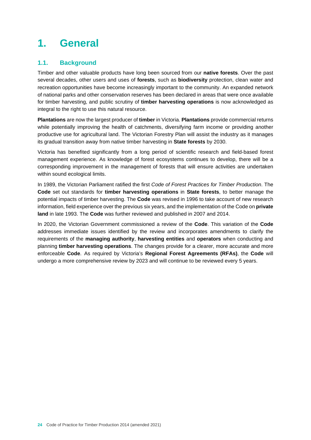## **1. General**

## **1.1. Background**

Timber and other valuable products have long been sourced from our **native forests**. Over the past several decades, other users and uses of **forests**, such as **biodiversity** protection, clean water and recreation opportunities have become increasingly important to the community. An expanded network of national parks and other conservation reserves has been declared in areas that were once available for timber harvesting, and public scrutiny of **timber harvesting operations** is now acknowledged as integral to the right to use this natural resource.

**Plantations** are now the largest producer of **timber** in Victoria. **Plantations** provide commercial returns while potentially improving the health of catchments, diversifying farm income or providing another productive use for agricultural land. The Victorian Forestry Plan will assist the industry as it manages its gradual transition away from native timber harvesting in **State forests** by 2030.

Victoria has benefited significantly from a long period of scientific research and field-based forest management experience. As knowledge of forest ecosystems continues to develop, there will be a corresponding improvement in the management of forests that will ensure activities are undertaken within sound ecological limits.

In 1989, the Victorian Parliament ratified the first *Code of Forest Practices for Timber Production*. The **Code** set out standards for **timber harvesting operations** in **State forests**, to better manage the potential impacts of timber harvesting. The **Code** was revised in 1996 to take account of new research information, field experience over the previous six years, and the implementation of the Code on **private land** in late 1993. The **Code** was further reviewed and published in 2007 and 2014.

In 2020, the Victorian Government commissioned a review of the **Code**. This variation of the **Code**  addresses immediate issues identified by the review and incorporates amendments to clarify the requirements of the **managing authority**, **harvesting entities** and **operators** when conducting and planning **timber harvesting operations**. The changes provide for a clearer, more accurate and more enforceable **Code**. As required by Victoria's **Regional Forest Agreements (RFAs)**, the **Code** will undergo a more comprehensive review by 2023 and will continue to be reviewed every 5 years.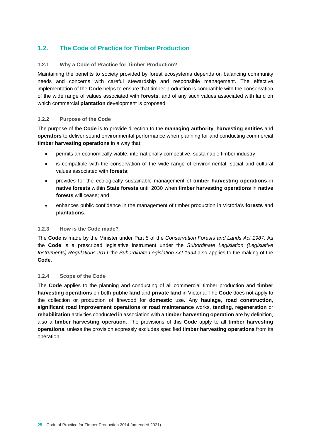## **1.2. The Code of Practice for Timber Production**

## **1.2.1 Why a Code of Practice for Timber Production?**

Maintaining the benefits to society provided by forest ecosystems depends on balancing community needs and concerns with careful stewardship and responsible management. The effective implementation of the **Code** helps to ensure that timber production is compatible with the conservation of the wide range of values associated with **forests**, and of any such values associated with land on which commercial **plantation** development is proposed.

## **1.2.2 Purpose of the Code**

The purpose of the **Code** is to provide direction to the **managing authority**, **harvesting entities** and **operators** to deliver sound environmental performance when planning for and conducting commercial **timber harvesting operations** in a way that:

- permits an economically viable, internationally competitive, sustainable timber industry;
- is compatible with the conservation of the wide range of environmental, social and cultural values associated with **forests**;
- provides for the ecologically sustainable management of **timber harvesting operations** in **native forests** within **State forests** until 2030 when **timber harvesting operations** in **native forests** will cease; and
- enhances public confidence in the management of timber production in Victoria's **forests** and **plantations**.

## **1.2.3 How is the Code made?**

The **Code** is made by the Minister under Part 5 of the *Conservation Forests and Lands Act 1987*. As the **Code** is a prescribed legislative instrument under the *Subordinate Legislation (Legislative Instruments) Regulations 2011* the *Subordinate Legislation Act 1994* also applies to the making of the **Code**.

## **1.2.4 Scope of the Code**

The **Code** applies to the planning and conducting of all commercial timber production and **timber harvesting operations** on both **public land** and **private land** in Victoria. The **Code** does not apply to the collection or production of firewood for **domestic** use. Any **haulage**, **road construction**, **significant road improvement operations** or **road maintenance** works, **tending**, **regeneration** or **rehabilitation** activities conducted in association with a **timber harvesting operation** are by definition, also a **timber harvesting operation**. The provisions of this **Code** apply to all **timber harvesting operations**, unless the provision expressly excludes specified **timber harvesting operations** from its operation.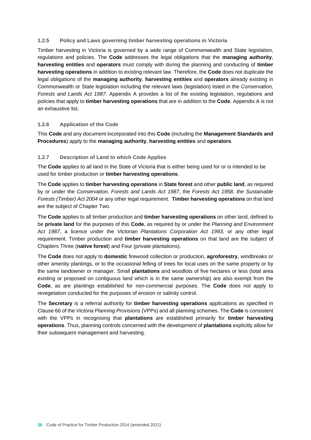## **1.2.5 Policy and Laws governing timber harvesting operations in Victoria**

Timber harvesting in Victoria is governed by a wide range of Commonwealth and State legislation, regulations and policies. The **Code** addresses the legal obligations that the **managing authority**, **harvesting entities** and **operators** must comply with during the planning and conducting of **timber harvesting operations** in addition to existing relevant law. Therefore, the **Code** does not duplicate the legal obligations of the **managing authority**, **harvesting entities** and **operators** already existing in Commonwealth or State legislation including the relevant laws (legislation) listed in the *Conservation, Forests and Lands Act 1987*. Appendix A provides a list of the existing legislation, regulations and policies that apply to **timber harvesting operations** that are in addition to the **Code**. Appendix A is not an exhaustive list.

## **1.2.6 Application of the Code**

This **Code** and any document incorporated into this **Code** (including the **Management Standards and Procedures**) apply to the **managing authority**, **harvesting entities** and **operators**.

## **1.2.7 Description of Land to which Code Applies**

The **Code** applies to all land in the State of Victoria that is either being used for or is intended to be used for timber production or **timber harvesting operations**.

The **Code** applies to **timber harvesting operations** in **State forest** and other **public land**, as required by or under the *Conservation, Forests and Lands Act 1987*, the *Forests Act 1958*, *the Sustainable Forests (Timber) Act 2004* or any other legal requirement. **Timber harvesting operations** on that land are the subject of Chapter Two.

The **Code** applies to all timber production and **timber harvesting operations** on other land, defined to be **private land** for the purposes of this **Code**, as required by or under the *Planning and Environment Act 1987*, a licence under the *Victorian Plantations Corporation Act 1993*, or any other legal requirement. Timber production and **timber harvesting operations** on that land are the subject of Chapters Three (**native forest**) and Four (private plantations).

The **Code** does not apply to **domestic** firewood collection or production, **agroforestry**, windbreaks or other amenity plantings, or to the occasional felling of trees for local uses on the same property or by the same landowner or manager. Small **plantations** and woodlots of five hectares or less (total area existing or proposed on contiguous land which is in the same ownership) are also exempt from the **Code**, as are plantings established for non-commercial purposes. The **Code** does not apply to revegetation conducted for the purposes of erosion or salinity control.

The **Secretary** is a referral authority for **timber harvesting operations** applications as specified in Clause 66 of the *Victoria Planning Provisions* (VPPs) and all planning schemes. The **Code** is consistent with the VPPs in recognising that **plantations** are established primarily for **timber harvesting operations**. Thus, planning controls concerned with the development of **plantations** explicitly allow for their subsequent management and harvesting.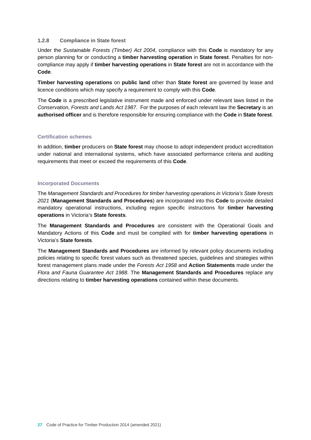### **1.2.8 Compliance in State forest**

Under the *Sustainable Forests (Timber) Act 2004*, compliance with this **Code** is mandatory for any person planning for or conducting a **timber harvesting operation** in **State forest**. Penalties for noncompliance may apply if **timber harvesting operations** in **State forest** are not in accordance with the **Code**.

**Timber harvesting operations** on **public land** other than **State forest** are governed by lease and licence conditions which may specify a requirement to comply with this **Code**.

The **Code** is a prescribed legislative instrument made and enforced under relevant laws listed in the *Conservation, Forests and Lands Act 1987*. For the purposes of each relevant law the **Secretary** is an **authorised officer** and is therefore responsible for ensuring compliance with the **Code** in **State forest**.

#### **Certification schemes**

In addition, **timber** producers on **State forest** may choose to adopt independent product accreditation under national and international systems, which have associated performance criteria and auditing requirements that meet or exceed the requirements of this **Code**.

## **Incorporated Documents**

The *Management Standards and Procedures for timber harvesting operations in Victoria's State forests 2021* (**Management Standards and Procedures**) are incorporated into this **Code** to provide detailed mandatory operational instructions, including region specific instructions for **timber harvesting operations** in Victoria's **State forests**.

The **Management Standards and Procedures** are consistent with the Operational Goals and Mandatory Actions of this **Code** and must be complied with for **timber harvesting operations** in Victoria's **State forests**.

The **Management Standards and Procedures** are informed by relevant policy documents including policies relating to specific forest values such as threatened species, guidelines and strategies within forest management plans made under the *Forests Act 1958* and **Action Statements** made under the *Flora and Fauna Guarantee Act 1988*. The **Management Standards and Procedures** replace any directions relating to **timber harvesting operations** contained within these documents.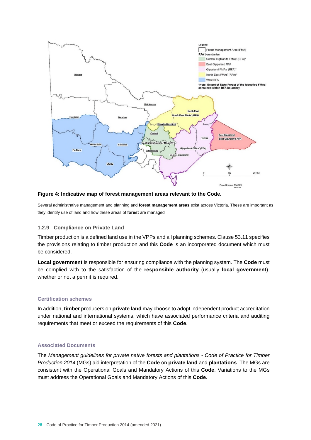

#### **Figure 4: Indicative map of forest management areas relevant to the Code.**

Several administrative management and planning and **forest management areas** exist across Victoria. These are important as they identify use of land and how these areas of **forest** are managed

#### **1.2.9 Compliance on Private Land**

Timber production is a defined land use in the VPPs and all planning schemes. Clause 53.11 specifies the provisions relating to timber production and this **Code** is an incorporated document which must be considered.

**Local government** is responsible for ensuring compliance with the planning system. The **Code** must be complied with to the satisfaction of the **responsible authority** (usually **local government**), whether or not a permit is required.

#### **Certification schemes**

In addition, **timber** producers on **private land** may choose to adopt independent product accreditation under national and international systems, which have associated performance criteria and auditing requirements that meet or exceed the requirements of this **Code**.

## **Associated Documents**

The *Management guidelines for private native forests and plantations - Code of Practice for Timber Production 2014* (MGs) aid interpretation of the **Code** on **private land** and **plantations**. The MGs are consistent with the Operational Goals and Mandatory Actions of this **Code**. Variations to the MGs must address the Operational Goals and Mandatory Actions of this **Code**.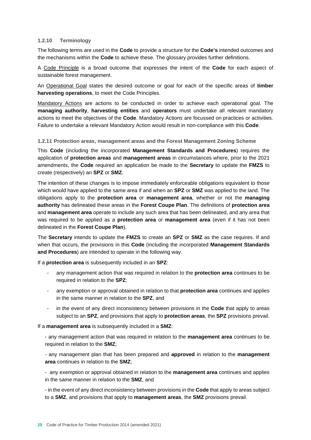## **1.2.10 Terminology**

The following terms are used in the **Code** to provide a structure for the **Code's** intended outcomes and the mechanisms within the **Code** to achieve these. The glossary provides further definitions.

A Code Principle is a broad outcome that expresses the intent of the **Code** for each aspect of sustainable forest management.

An Operational Goal states the desired outcome or goal for each of the specific areas of **timber harvesting operations**, to meet the Code Principles.

Mandatory Actions are actions to be conducted in order to achieve each operational goal. The **managing authority**, **harvesting entities** and **operators** must undertake all relevant mandatory actions to meet the objectives of the **Code**. Mandatory Actions are focussed on practices or activities. Failure to undertake a relevant Mandatory Action would result in non-compliance with this **Code**.

## **1.2.11 Protection areas, management areas and the Forest Management Zoning Scheme**

This **Code** (including the incorporated **Management Standards and Procedures**) requires the application of **protection areas** and **management areas** in circumstances where, prior to the 2021 amendments, the **Code** required an application be made to the **Secretary** to update the **FMZS** to create (respectively) an **SPZ** or **SMZ**.

The intention of these changes is to impose immediately enforceable obligations equivalent to those which would have applied to the same area if and when an **SPZ** or **SMZ** was applied to the land. The obligations apply to the **protection area** or **management area**, whether or not the **managing authority** has delineated these areas in the **Forest Coupe Plan**. The definitions of **protection area** and **management area** operate to include any such area that has been delineated, and any area that was required to be applied as a **protection area** or **management area** (even if it has not been delineated in the **Forest Coupe Plan**).

The **Secretary** intends to update the **FMZS** to create an **SPZ** or **SMZ** as the case requires. If and when that occurs, the provisions in this **Code** (including the incorporated **Management Standards and Procedures**) are intended to operate in the following way.

If a **protection area** is subsequently included in an **SPZ**:

- any management action that was required in relation to the **protection area** continues to be required in relation to the **SPZ**;
- any exemption or approval obtained in relation to that **protection area** continues and applies in the same manner in relation to the **SPZ**, and
- in the event of any direct inconsistency between provisions in the **Code** that apply to areas subject to an **SPZ**, and provisions that apply to **protection areas**, the **SPZ** provisions prevail.

If a **management area** is subsequently included in a **SMZ**:

- any management action that was required in relation to the **management area** continues to be required in relation to the **SMZ**;

- any management plan that has been prepared and **approved** in relation to the **management area** continues in relation to the **SMZ**;

- any exemption or approval obtained in relation to the **management area** continues and applies in the same manner in relation to the **SMZ**, and

- in the event of any direct inconsistency between provisions in the **Code** that apply to areas subject to a **SMZ**, and provisions that apply to **management areas**, the **SMZ** provisions prevail.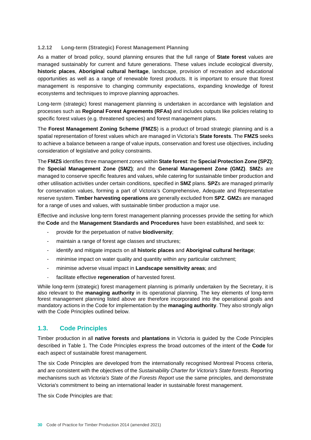## **1.2.12 Long-term (Strategic) Forest Management Planning**

As a matter of broad policy, sound planning ensures that the full range of **State forest** values are managed sustainably for current and future generations. These values include ecological diversity, **historic places**, **Aboriginal cultural heritage**, landscape, provision of recreation and educational opportunities as well as a range of renewable forest products. It is important to ensure that forest management is responsive to changing community expectations, expanding knowledge of forest ecosystems and techniques to improve planning approaches.

Long-term (strategic) forest management planning is undertaken in accordance with legislation and processes such as **Regional Forest Agreements (RFAs)** and includes outputs like policies relating to specific forest values (e.g. threatened species) and forest management plans.

The **Forest Management Zoning Scheme (FMZS**) is a product of broad strategic planning and is a spatial representation of forest values which are managed in Victoria's **State forests**. The **FMZS** seeks to achieve a balance between a range of value inputs, conservation and forest use objectives, including consideration of legislative and policy constraints.

The **FMZS** identifies three management zones within **State forest**: the **Special Protection Zone (SPZ)**; the **Special Management Zone (SMZ)**; and the **General Management Zone (GMZ)**. **SMZ**s are managed to conserve specific features and values, while catering for sustainable timber production and other utilisation activities under certain conditions, specified in **SMZ** plans. **SPZ**s are managed primarily for conservation values, forming a part of Victoria's Comprehensive, Adequate and Representative reserve system. **Timber harvesting operations** are generally excluded from **SPZ**. **GMZ**s are managed for a range of uses and values, with sustainable timber production a major use.

Effective and inclusive long-term forest management planning processes provide the setting for which the **Code** and the **Management Standards and Procedures** have been established, and seek to:

- provide for the perpetuation of native **biodiversity**;
- maintain a range of forest age classes and structures;
- identify and mitigate impacts on all **historic places** and **Aboriginal cultural heritage**;
- minimise impact on water quality and quantity within any particular catchment;
- minimise adverse visual impact in **Landscape sensitivity areas**; and
- facilitate effective **regeneration** of harvested forest.

While long-term (strategic) forest management planning is primarily undertaken by the Secretary, it is also relevant to the **managing authority** in its operational planning. The key elements of long-term forest management planning listed above are therefore incorporated into the operational goals and mandatory actions in the Code for implementation by the **managing authority**. They also strongly align with the Code Principles outlined below.

## **1.3. Code Principles**

Timber production in all **native forests** and **plantations** in Victoria is guided by the Code Principles described in Table 1. The Code Principles express the broad outcomes of the intent of the **Code** for each aspect of sustainable forest management.

The six Code Principles are developed from the internationally recognised Montreal Process criteria, and are consistent with the objectives of the *Sustainability Charter for Victoria's State forests*. Reporting mechanisms such as *Victoria's State of the Forests Report* use the same principles, and demonstrate Victoria's commitment to being an international leader in sustainable forest management.

The six Code Principles are that: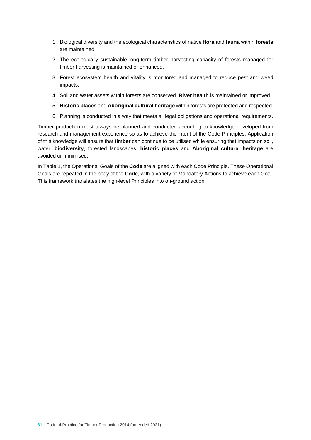- 1. Biological diversity and the ecological characteristics of native **flora** and **fauna** within **forests** are maintained.
- 2. The ecologically sustainable long-term timber harvesting capacity of forests managed for timber harvesting is maintained or enhanced.
- 3. Forest ecosystem health and vitality is monitored and managed to reduce pest and weed impacts.
- 4. Soil and water assets within forests are conserved. **River health** is maintained or improved.
- 5. **Historic places** and **Aboriginal cultural heritage** within forests are protected and respected.
- 6. Planning is conducted in a way that meets all legal obligations and operational requirements.

Timber production must always be planned and conducted according to knowledge developed from research and management experience so as to achieve the intent of the Code Principles. Application of this knowledge will ensure that **timber** can continue to be utilised while ensuring that impacts on soil, water, **biodiversity**, forested landscapes, **historic places** and **Aboriginal cultural heritage** are avoided or minimised.

In Table 1, the Operational Goals of the **Code** are aligned with each Code Principle. These Operational Goals are repeated in the body of the **Code**, with a variety of Mandatory Actions to achieve each Goal. This framework translates the high-level Principles into on-ground action.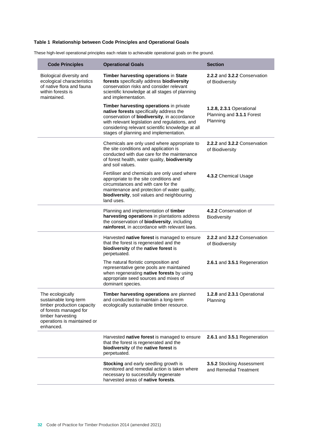## **Table 1 Relationship between Code Principles and Operational Goals**

These high-level operational principles each relate to achievable operational goals on the ground.

| <b>Code Principles</b>                                                                                                                                             | <b>Operational Goals</b>                                                                                                                                                                                                                                                          | <b>Section</b>                                                    |
|--------------------------------------------------------------------------------------------------------------------------------------------------------------------|-----------------------------------------------------------------------------------------------------------------------------------------------------------------------------------------------------------------------------------------------------------------------------------|-------------------------------------------------------------------|
| Biological diversity and<br>ecological characteristics<br>of native flora and fauna<br>within forests is<br>maintained.                                            | Timber harvesting operations in State<br>forests specifically address biodiversity<br>conservation risks and consider relevant<br>scientific knowledge at all stages of planning<br>and implementation.                                                                           | 2.2.2 and 3.2.2 Conservation<br>of Biodiversity                   |
|                                                                                                                                                                    | Timber harvesting operations in private<br>native forests specifically address the<br>conservation of biodiversity, in accordance<br>with relevant legislation and regulations, and<br>considering relevant scientific knowledge at all<br>stages of planning and implementation. | 1.2.8, 2.3.1 Operational<br>Planning and 3.1.1 Forest<br>Planning |
|                                                                                                                                                                    | Chemicals are only used where appropriate to<br>the site conditions and application is<br>conducted with due care for the maintenance<br>of forest health, water quality, <b>biodiversity</b><br>and soil values.                                                                 | 2.2.2 and 3.2.2 Conservation<br>of Biodiversity                   |
|                                                                                                                                                                    | Fertiliser and chemicals are only used where<br>appropriate to the site conditions and<br>circumstances and with care for the<br>maintenance and protection of water quality,<br>biodiversity, soil values and neighbouring<br>land uses.                                         | 4.3.2 Chemical Usage                                              |
|                                                                                                                                                                    | Planning and implementation of timber<br>harvesting operations in plantations address<br>the conservation of biodiversity, including<br>rainforest, in accordance with relevant laws.                                                                                             | 4.2.2 Conservation of<br><b>Biodiversity</b>                      |
|                                                                                                                                                                    | Harvested native forest is managed to ensure<br>that the forest is regenerated and the<br>biodiversity of the native forest is<br>perpetuated.                                                                                                                                    | 2.2.2 and 3.2.2 Conservation<br>of Biodiversity                   |
|                                                                                                                                                                    | The natural floristic composition and<br>representative gene pools are maintained<br>when regenerating native forests by using<br>appropriate seed sources and mixes of<br>dominant species.                                                                                      | 2.6.1 and 3.5.1 Regeneration                                      |
| The ecologically<br>sustainable long-term<br>timber production capacity<br>of forests managed for<br>timber harvesting<br>operations is maintained or<br>enhanced. | Timber harvesting operations are planned<br>and conducted to maintain a long-term<br>ecologically sustainable timber resource.                                                                                                                                                    | 1.2.8 and 2.3.1 Operational<br>Planning                           |
|                                                                                                                                                                    | Harvested native forest is managed to ensure<br>that the forest is regenerated and the<br>biodiversity of the native forest is<br>perpetuated.                                                                                                                                    | 2.6.1 and 3.5.1 Regeneration                                      |
|                                                                                                                                                                    | <b>Stocking</b> and early seedling growth is<br>monitored and remedial action is taken where<br>necessary to successfully regenerate<br>harvested areas of native forests.                                                                                                        | <b>3.5.2 Stocking Assessment</b><br>and Remedial Treatment        |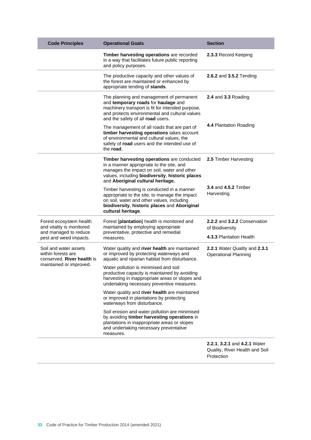| <b>Code Principles</b>                                                        | <b>Operational Goals</b>                                                                                                                                                                                                      | <b>Section</b>                                               |
|-------------------------------------------------------------------------------|-------------------------------------------------------------------------------------------------------------------------------------------------------------------------------------------------------------------------------|--------------------------------------------------------------|
|                                                                               | Timber harvesting operations are recorded<br>in a way that facilitates future public reporting<br>and policy purposes.                                                                                                        | 2.3.3 Record Keeping                                         |
|                                                                               | The productive capacity and other values of<br>the forest are maintained or enhanced by<br>appropriate tending of stands.                                                                                                     | 2.6.2 and 3.5.2 Tending                                      |
|                                                                               | The planning and management of permanent<br>and temporary roads for haulage and<br>machinery transport is fit for intended purpose,<br>and protects environmental and cultural values<br>and the safety of all road users.    | 2.4 and 3.3 Roading                                          |
|                                                                               | The management of all roads that are part of<br>timber harvesting operations takes account<br>of environmental and cultural values, the<br>safety of road users and the intended use of<br>the road.                          | 4.4 Plantation Roading                                       |
|                                                                               | Timber harvesting operations are conducted<br>in a manner appropriate to the site, and<br>manages the impact on soil, water and other<br>values, including biodiversity, historic places<br>and Aboriginal cultural heritage. | 2.5 Timber Harvesting                                        |
|                                                                               | Timber harvesting is conducted in a manner<br>appropriate to the site, to manage the impact<br>on soil, water and other values, including<br>biodiversity, historic places and Aboriginal<br>cultural heritage.               | <b>3.4 and 4.5.2 Timber</b><br>Harvesting                    |
| Forest ecosystem health<br>and vitality is monitored<br>and managed to reduce | Forest [plantation] health is monitored and<br>maintained by employing appropriate<br>preventative, protective and remedial                                                                                                   | 2.2.2 and 3.2.2 Conservation<br>of Biodiversity              |
| pest and weed impacts.                                                        | measures.                                                                                                                                                                                                                     | 4.3.3 Plantation Health                                      |
| Soil and water assets<br>within forests are<br>conserved. River health is     | Water quality and river health are maintained<br>or improved by protecting waterways and<br>aquatic and riparian habitat from disturbance.                                                                                    | 2.2.1 Water Quality and 2.3.1<br><b>Operational Planning</b> |
| maintained or improved.                                                       | Water pollution is minimised and soil<br>productive capacity is maintained by avoiding<br>harvesting in inappropriate areas or slopes and<br>undertaking necessary preventive measures.                                       |                                                              |
|                                                                               | Water quality and river health are maintained<br>or improved in plantations by protecting<br>waterways from disturbance.                                                                                                      |                                                              |
|                                                                               | Soil erosion and water pollution are minimised<br>by avoiding timber harvesting operations in<br>plantations in inappropriate areas or slopes<br>and undertaking necessary preventative<br>measures.                          |                                                              |
|                                                                               |                                                                                                                                                                                                                               | 2.2.1, 3.2.1 and 4.2.1 Water                                 |

Quality, River Health and Soil Protection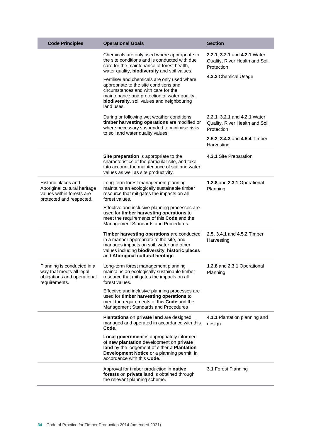| <b>Code Principles</b>                                                                                       | <b>Operational Goals</b>                                                                                                                                                                                                                  | <b>Section</b>                                                                                       |
|--------------------------------------------------------------------------------------------------------------|-------------------------------------------------------------------------------------------------------------------------------------------------------------------------------------------------------------------------------------------|------------------------------------------------------------------------------------------------------|
|                                                                                                              | Chemicals are only used where appropriate to<br>the site conditions and is conducted with due<br>care for the maintenance of forest health,<br>water quality, biodiversity and soil values.                                               | 2.2.1, 3.2.1 and 4.2.1 Water<br>Quality, River Health and Soil<br>Protection<br>4.3.2 Chemical Usage |
|                                                                                                              | Fertiliser and chemicals are only used where<br>appropriate to the site conditions and<br>circumstances and with care for the<br>maintenance and protection of water quality,<br>biodiversity, soil values and neighbouring<br>land uses. |                                                                                                      |
|                                                                                                              | During or following wet weather conditions,<br>timber harvesting operations are modified or<br>where necessary suspended to minimise risks<br>to soil and water quality values.                                                           | 2.2.1, 3.2.1 and 4.2.1 Water<br>Quality, River Health and Soil<br>Protection                         |
|                                                                                                              |                                                                                                                                                                                                                                           | 2.5.3, 3.4.3 and 4.5.4 Timber<br>Harvesting                                                          |
|                                                                                                              | Site preparation is appropriate to the<br>characteristics of the particular site, and take<br>into account the maintenance of soil and water<br>values as well as site productivity.                                                      | 4.3.1 Site Preparation                                                                               |
| Historic places and<br>Aboriginal cultural heritage<br>values within forests are<br>protected and respected. | Long-term forest management planning<br>maintains an ecologically sustainable timber<br>resource that mitigates the impacts on all<br>forest values.                                                                                      | 1.2.8 and 2.3.1 Operational<br>Planning                                                              |
|                                                                                                              | Effective and inclusive planning processes are<br>used for timber harvesting operations to<br>meet the requirements of this Code and the<br>Management Standards and Procedures.                                                          |                                                                                                      |
|                                                                                                              | Timber harvesting operations are conducted<br>in a manner appropriate to the site, and<br>manages impacts on soil, water and other<br>values including biodiversity, historic places<br>and Aboriginal cultural heritage.                 | 2.5, 3.4.1 and 4.5.2 Timber<br>Harvesting                                                            |
| Planning is conducted in a<br>way that meets all legal<br>obligations and operational<br>requirements.       | Long-term forest management planning<br>maintains an ecologically sustainable timber<br>resource that mitigates the impacts on all<br>forest values.                                                                                      | 1.2.8 and 2.3.1 Operational<br>Planning                                                              |
|                                                                                                              | Effective and inclusive planning processes are<br>used for timber harvesting operations to<br>meet the requirements of this Code and the<br>Management Standards and Procedures                                                           |                                                                                                      |
|                                                                                                              | Plantations on private land are designed,<br>managed and operated in accordance with this<br>Code.                                                                                                                                        | 4.1.1 Plantation planning and<br>design                                                              |
|                                                                                                              | Local government is appropriately informed<br>of new plantation development on private<br>land by the lodgement of either a Plantation<br>Development Notice or a planning permit, in<br>accordance with this Code.                       |                                                                                                      |
|                                                                                                              | Approval for timber production in native<br>forests on private land is obtained through<br>the relevant planning scheme.                                                                                                                  | 3.1 Forest Planning                                                                                  |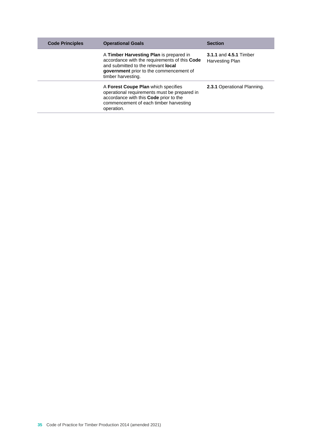| <b>Code Principles</b> | <b>Operational Goals</b>                                                                                                                                                                         | <b>Section</b>                            |
|------------------------|--------------------------------------------------------------------------------------------------------------------------------------------------------------------------------------------------|-------------------------------------------|
|                        | A Timber Harvesting Plan is prepared in<br>accordance with the requirements of this Code<br>and submitted to the relevant local<br>government prior to the commencement of<br>timber harvesting. | 3.1.1 and 4.5.1 Timber<br>Harvesting Plan |
|                        | A Forest Coupe Plan which specifies<br>operational requirements must be prepared in<br>accordance with this Code prior to the<br>commencement of each timber harvesting<br>operation.            | 2.3.1 Operational Planning.               |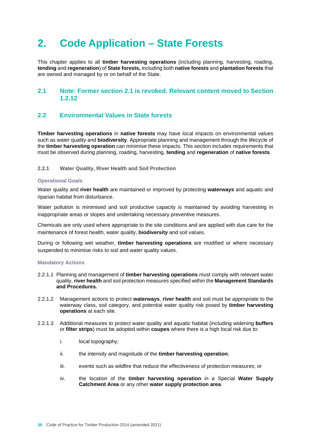# **2. Code Application – State Forests**

This chapter applies to all **timber harvesting operations** (including planning, harvesting, roading, **tending** and **regeneration**) of **State forests,** including both **native forests** and **plantation forests** that are owned and managed by or on behalf of the State.

# **2.1 Note: Former section 2.1 is revoked. Relevant content moved to Section 1.2.12**

# **2.2 Environmental Values in State forests**

**Timber harvesting operations** in **native forests** may have local impacts on environmental values such as water quality and **biodiversity**. Appropriate planning and management through the lifecycle of the **timber harvesting operation** can minimise these impacts. This section includes requirements that must be observed during planning, roading, harvesting, **tending** and **regeneration** of **native forests**.

# **2.2.1 Water Quality, River Health and Soil Protection**

# **Operational Goals**

Water quality and **river health** are maintained or improved by protecting **waterways** and aquatic and riparian habitat from disturbance.

Water pollution is minimised and soil productive capacity is maintained by avoiding harvesting in inappropriate areas or slopes and undertaking necessary preventive measures.

Chemicals are only used where appropriate to the site conditions and are applied with due care for the maintenance of forest health, water quality, **biodiversity** and soil values.

During or following wet weather, **timber harvesting operations** are modified or where necessary suspended to minimise risks to soil and water quality values.

- 2.2.1.1 Planning and management of **timber harvesting operations** must comply with relevant water quality, **river health** and soil protection measures specified within the **Management Standards and Procedures***.*
- 2.2.1.2 Management actions to protect **waterways**, **river health** and soil must be appropriate to the waterway class, soil category, and potential water quality risk posed by **timber harvesting operations** at each site.
- 2.2.1.3 Additional measures to protect water quality and aquatic habitat (including widening **buffers** or **filter strips**) must be adopted within **coupes** where there is a high local risk due to:
	- i. local topography;
	- ii. the intensity and magnitude of the **timber harvesting operation**;
	- iii. events such as wildfire that reduce the effectiveness of protection measures; or
	- iv. the location of the **timber harvesting operation** in a Special **Water Supply Catchment Area** or any other **water supply protection area**.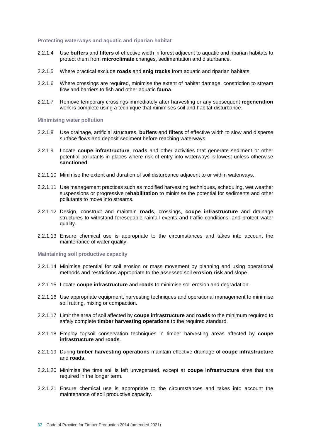#### **Protecting waterways and aquatic and riparian habitat**

- 2.2.1.4 Use **buffers** and **filters** of effective width in forest adjacent to aquatic and riparian habitats to protect them from **microclimate** changes, sedimentation and disturbance.
- 2.2.1.5 Where practical exclude **roads** and **snig tracks** from aquatic and riparian habitats.
- 2.2.1.6 Where crossings are required, minimise the extent of habitat damage, constriction to stream flow and barriers to fish and other aquatic **fauna**.
- 2.2.1.7 Remove temporary crossings immediately after harvesting or any subsequent **regeneration** work is complete using a technique that minimises soil and habitat disturbance.

#### **Minimising water pollution**

- 2.2.1.8 Use drainage, artificial structures, **buffers** and **filters** of effective width to slow and disperse surface flows and deposit sediment before reaching waterways.
- 2.2.1.9 Locate **coupe infrastructure**, **roads** and other activities that generate sediment or other potential pollutants in places where risk of entry into waterways is lowest unless otherwise **sanctioned**.
- 2.2.1.10 Minimise the extent and duration of soil disturbance adjacent to or within waterways.
- 2.2.1.11 Use management practices such as modified harvesting techniques, scheduling, wet weather suspensions or progressive **rehabilitation** to minimise the potential for sediments and other pollutants to move into streams.
- 2.2.1.12 Design, construct and maintain **roads**, crossings, **coupe infrastructure** and drainage structures to withstand foreseeable rainfall events and traffic conditions, and protect water quality.
- 2.2.1.13 Ensure chemical use is appropriate to the circumstances and takes into account the maintenance of water quality.

# **Maintaining soil productive capacity**

- 2.2.1.14 Minimise potential for soil erosion or mass movement by planning and using operational methods and restrictions appropriate to the assessed soil **erosion risk** and slope.
- 2.2.1.15 Locate **coupe infrastructure** and **roads** to minimise soil erosion and degradation.
- 2.2.1.16 Use appropriate equipment, harvesting techniques and operational management to minimise soil rutting, mixing or compaction.
- 2.2.1.17 Limit the area of soil affected by **coupe infrastructure** and **roads** to the minimum required to safely complete **timber harvesting operations** to the required standard.
- 2.2.1.18 Employ topsoil conservation techniques in timber harvesting areas affected by **coupe infrastructure** and **roads**.
- 2.2.1.19 During **timber harvesting operations** maintain effective drainage of **coupe infrastructure**  and **roads**.
- 2.2.1.20 Minimise the time soil is left unvegetated, except at **coupe infrastructure** sites that are required in the longer term.
- 2.2.1.21 Ensure chemical use is appropriate to the circumstances and takes into account the maintenance of soil productive capacity.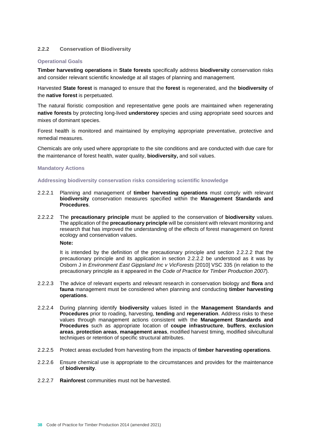# **2.2.2 Conservation of Biodiversity**

# **Operational Goals**

**Timber harvesting operations** in **State forests** specifically address **biodiversity** conservation risks and consider relevant scientific knowledge at all stages of planning and management.

Harvested **State forest** is managed to ensure that the **forest** is regenerated, and the **biodiversity** of the **native forest** is perpetuated.

The natural floristic composition and representative gene pools are maintained when regenerating **native forests** by protecting long-lived **understorey** species and using appropriate seed sources and mixes of dominant species.

Forest health is monitored and maintained by employing appropriate preventative, protective and remedial measures.

Chemicals are only used where appropriate to the site conditions and are conducted with due care for the maintenance of forest health, water quality, **biodiversity,** and soil values.

#### **Mandatory Actions**

#### **Addressing biodiversity conservation risks considering scientific knowledge**

- 2.2.2.1 Planning and management of **timber harvesting operations** must comply with relevant **biodiversity** conservation measures specified within the **Management Standards and Procedures**.
- 2.2.2.2 The **precautionary principle** must be applied to the conservation of **biodiversity** values. The application of the **precautionary principle** will be consistent with relevant monitoring and research that has improved the understanding of the effects of forest management on forest ecology and conservation values.

**Note:** 

It is intended by the definition of the precautionary principle and section 2.2.2.2 that the precautionary principle and its application in section 2.2.2.2 be understood as it was by Osborn J in *Environment East Gippsland Inc v VicForests* [2010] VSC 335 (in relation to the precautionary principle as it appeared in the *Code of Practice for Timber Production 2007*).

- 2.2.2.3 The advice of relevant experts and relevant research in conservation biology and **flora** and **fauna** management must be considered when planning and conducting **timber harvesting operations**.
- 2.2.2.4 During planning identify **biodiversity** values listed in the **Management Standards and Procedures** prior to roading, harvesting, **tending** and **regeneration**. Address risks to these values through management actions consistent with the **Management Standards and Procedures** such as appropriate location of **coupe infrastructure**, **buffers**, **exclusion areas**, **protection areas**, **management areas**, modified harvest timing, modified silvicultural techniques or retention of specific structural attributes.
- 2.2.2.5 Protect areas excluded from harvesting from the impacts of **timber harvesting operations**.
- 2.2.2.6 Ensure chemical use is appropriate to the circumstances and provides for the maintenance of **biodiversity**.
- 2.2.2.7 **Rainforest** communities must not be harvested.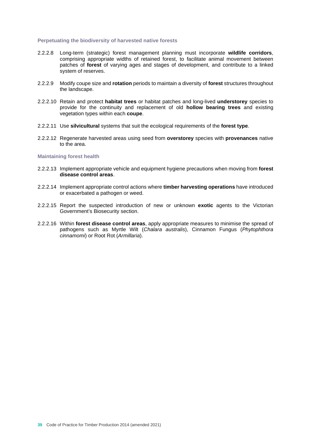#### **Perpetuating the biodiversity of harvested native forests**

- 2.2.2.8 Long-term (strategic) forest management planning must incorporate **wildlife corridors**, comprising appropriate widths of retained forest, to facilitate animal movement between patches of **forest** of varying ages and stages of development, and contribute to a linked system of reserves.
- 2.2.2.9 Modify coupe size and **rotation** periods to maintain a diversity of **forest** structures throughout the landscape.
- 2.2.2.10 Retain and protect **habitat trees** or habitat patches and long-lived **understorey** species to provide for the continuity and replacement of old **hollow bearing trees** and existing vegetation types within each **coupe**.
- 2.2.2.11 Use **silvicultural** systems that suit the ecological requirements of the **forest type**.
- 2.2.2.12 Regenerate harvested areas using seed from **overstorey** species with **provenances** native to the area.

#### **Maintaining forest health**

- 2.2.2.13 Implement appropriate vehicle and equipment hygiene precautions when moving from **forest disease control areas**.
- 2.2.2.14 Implement appropriate control actions where **timber harvesting operations** have introduced or exacerbated a pathogen or weed.
- 2.2.2.15 Report the suspected introduction of new or unknown **exotic** agents to the Victorian Government's Biosecurity section.
- 2.2.2.16 Within **forest disease control areas**, apply appropriate measures to minimise the spread of pathogens such as Myrtle Wilt (*Chalara australis*), Cinnamon Fungus (*Phytophthora cinnamomi*) or Root Rot (*Armillaria*).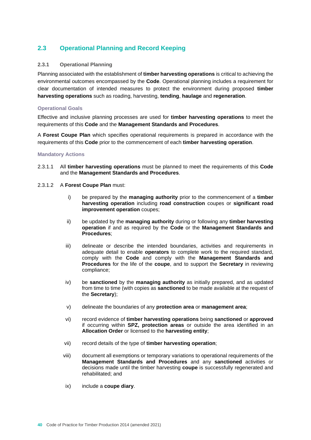# **2.3 Operational Planning and Record Keeping**

# **2.3.1 Operational Planning**

Planning associated with the establishment of **timber harvesting operations** is critical to achieving the environmental outcomes encompassed by the **Code**. Operational planning includes a requirement for clear documentation of intended measures to protect the environment during proposed **timber harvesting operations** such as roading, harvesting, **tending**, **haulage** and **regeneration**.

# **Operational Goals**

Effective and inclusive planning processes are used for **timber harvesting operations** to meet the requirements of this **Code** and the **Management Standards and Procedures**.

A **Forest Coupe Plan** which specifies operational requirements is prepared in accordance with the requirements of this **Code** prior to the commencement of each **timber harvesting operation**.

- 2.3.1.1 All **timber harvesting operations** must be planned to meet the requirements of this **Code** and the **Management Standards and Procedures**.
- 2.3.1.2 A **Forest Coupe Plan** must:
	- i) be prepared by the **managing authority** prior to the commencement of a **timber harvesting operation** including **road construction** coupes or **significant road improvement operation** coupes;
	- ii) be updated by the **managing authority** during or following any **timber harvesting operation** if and as required by the **Code** or the **Management Standards and Procedures**;
	- iii) delineate or describe the intended boundaries, activities and requirements in adequate detail to enable **operators** to complete work to the required standard, comply with the **Code** and comply with the **Management Standards and Procedures** for the life of the **coupe**, and to support the **Secretary** in reviewing compliance;
	- iv) be **sanctioned** by the **managing authority** as initially prepared, and as updated from time to time (with copies as **sanctioned** to be made available at the request of the **Secretary**);
	- v) delineate the boundaries of any **protection area** or **management area**;
	- vi) record evidence of **timber harvesting operations** being **sanctioned** or **approved** if occurring within **SPZ, protection areas** or outside the area identified in an **Allocation Order** or licensed to the **harvesting entity**;
	- vii) record details of the type of **timber harvesting operation**;
	- viii) document all exemptions or temporary variations to operational requirements of the **Management Standards and Procedures** and any **sanctioned** activities or decisions made until the timber harvesting **coupe** is successfully regenerated and rehabilitated; and
	- ix) include a **coupe diary**.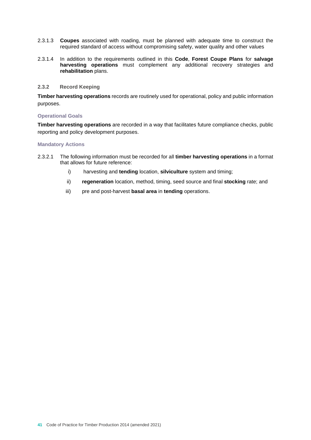- 2.3.1.3 **Coupes** associated with roading, must be planned with adequate time to construct the required standard of access without compromising safety, water quality and other values
- 2.3.1.4 In addition to the requirements outlined in this **Code**, **Forest Coupe Plans** for **salvage harvesting operations** must complement any additional recovery strategies and **rehabilitation** plans.

#### **2.3.2 Record Keeping**

**Timber harvesting operations** records are routinely used for operational, policy and public information purposes.

#### **Operational Goals**

**Timber harvesting operations** are recorded in a way that facilitates future compliance checks, public reporting and policy development purposes.

- 2.3.2.1 The following information must be recorded for all **timber harvesting operations** in a format that allows for future reference:
	- i) harvesting and **tending** location, **silviculture** system and timing;
	- ii) **regeneration** location, method, timing, seed source and final **stocking** rate; and
	- iii) pre and post-harvest **basal area** in **tending** operations.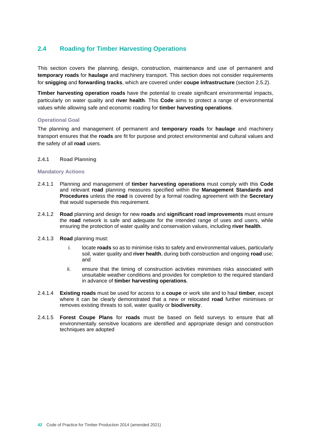# **2.4 Roading for Timber Harvesting Operations**

This section covers the planning, design, construction, maintenance and use of permanent and **temporary roads** for **haulage** and machinery transport. This section does not consider requirements for **snigging** and **forwarding tracks**, which are covered under **coupe infrastructure** (section 2.5.2).

**Timber harvesting operation roads** have the potential to create significant environmental impacts, particularly on water quality and **river health**. This **Code** aims to protect a range of environmental values while allowing safe and economic roading for **timber harvesting operations**.

# **Operational Goal**

The planning and management of permanent and **temporary roads** for **haulage** and machinery transport ensures that the **roads** are fit for purpose and protect environmental and cultural values and the safety of all **road** users.

# **2.4.1 Road Planning**

#### **Mandatory Actions**

- 2.4.1.1 Planning and management of **timber harvesting operations** must comply with this **Code** and relevant **road** planning measures specified within the **Management Standards and Procedures** unless the **road** is covered by a formal roading agreement with the **Secretary** that would supersede this requirement.
- 2.4.1.2 **Road** planning and design for new **roads** and **significant road improvements** must ensure the **road** network is safe and adequate for the intended range of uses and users, while ensuring the protection of water quality and conservation values, including **river health**.

#### 2.4.1.3 **Road** planning must:

- i. locate **roads** so as to minimise risks to safety and environmental values, particularly soil, water quality and **river health**, during both construction and ongoing **road** use; and
- ii. ensure that the timing of construction activities minimises risks associated with unsuitable weather conditions and provides for completion to the required standard in advance of **timber harvesting operations**.
- 2.4.1.4 **Existing roads** must be used for access to a **coupe** or work site and to haul **timber**, except where it can be clearly demonstrated that a new or relocated **road** further minimises or removes existing threats to soil, water quality or **biodiversity**.
- 2.4.1.5 **Forest Coupe Plans** for **roads** must be based on field surveys to ensure that all environmentally sensitive locations are identified and appropriate design and construction techniques are adopted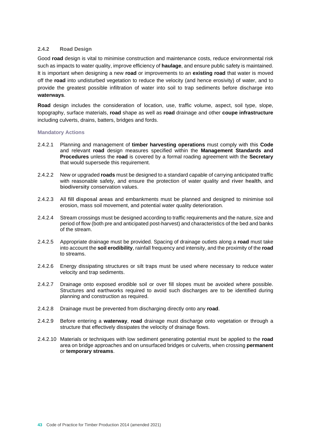# **2.4.2 Road Design**

Good **road** design is vital to minimise construction and maintenance costs, reduce environmental risk such as impacts to water quality, improve efficiency of **haulage**, and ensure public safety is maintained. It is important when designing a new **road** or improvements to an **existing road** that water is moved off the **road** into undisturbed vegetation to reduce the velocity (and hence erosivity) of water, and to provide the greatest possible infiltration of water into soil to trap sediments before discharge into **waterways**.

**Road** design includes the consideration of location, use, traffic volume, aspect, soil type, slope, topography, surface materials, **road** shape as well as **road** drainage and other **coupe infrastructure**  including culverts, drains, batters, bridges and fords.

- 2.4.2.1 Planning and management of **timber harvesting operations** must comply with this **Code**  and relevant **road** design measures specified within the **Management Standards and Procedures** unless the **road** is covered by a formal roading agreement with the **Secretary**  that would supersede this requirement.
- 2.4.2.2 New or upgraded **roads** must be designed to a standard capable of carrying anticipated traffic with reasonable safety, and ensure the protection of water quality and **river health**, and **biodiversity** conservation values.
- 2.4.2.3 All **fill disposal areas** and embankments must be planned and designed to minimise soil erosion, mass soil movement, and potential water quality deterioration.
- 2.4.2.4 Stream crossings must be designed according to traffic requirements and the nature, size and period of flow (both pre and anticipated post-harvest) and characteristics of the bed and banks of the stream.
- 2.4.2.5 Appropriate drainage must be provided. Spacing of drainage outlets along a **road** must take into account the **soil erodibility**, rainfall frequency and intensity, and the proximity of the **road** to streams.
- 2.4.2.6 Energy dissipating structures or silt traps must be used where necessary to reduce water velocity and trap sediments.
- 2.4.2.7 Drainage onto exposed erodible soil or over fill slopes must be avoided where possible. Structures and earthworks required to avoid such discharges are to be identified during planning and construction as required.
- 2.4.2.8 Drainage must be prevented from discharging directly onto any **road**.
- 2.4.2.9 Before entering a **waterway**, **road** drainage must discharge onto vegetation or through a structure that effectively dissipates the velocity of drainage flows.
- 2.4.2.10 Materials or techniques with low sediment generating potential must be applied to the **road**  area on bridge approaches and on unsurfaced bridges or culverts, when crossing **permanent** or **temporary streams**.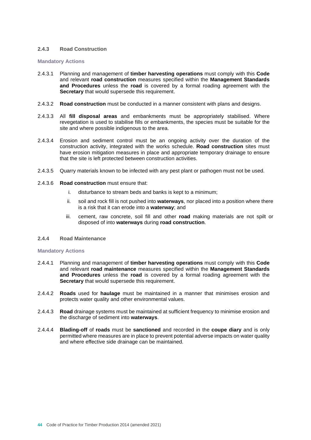# **2.4.3 Road Construction**

#### **Mandatory Actions**

- 2.4.3.1 Planning and management of **timber harvesting operations** must comply with this **Code** and relevant **road construction** measures specified within the **Management Standards and Procedures** unless the **road** is covered by a formal roading agreement with the **Secretary** that would supersede this requirement.
- 2.4.3.2 **Road construction** must be conducted in a manner consistent with plans and designs.
- 2.4.3.3 All **fill disposal areas** and embankments must be appropriately stabilised. Where revegetation is used to stabilise fills or embankments, the species must be suitable for the site and where possible indigenous to the area.
- 2.4.3.4 Erosion and sediment control must be an ongoing activity over the duration of the construction activity, integrated with the works schedule. **Road construction** sites must have erosion mitigation measures in place and appropriate temporary drainage to ensure that the site is left protected between construction activities.
- 2.4.3.5 Quarry materials known to be infected with any pest plant or pathogen must not be used.
- 2.4.3.6 **Road construction** must ensure that:
	- i. disturbance to stream beds and banks is kept to a minimum;
	- ii. soil and rock fill is not pushed into **waterways**, nor placed into a position where there is a risk that it can erode into a **waterway**; and
	- iii. cement, raw concrete, soil fill and other **road** making materials are not spilt or disposed of into **waterways** during **road construction**.
- **2.4.4 Road Maintenance**

- 2.4.4.1 Planning and management of **timber harvesting operations** must comply with this **Code** and relevant **road maintenance** measures specified within the **Management Standards and Procedures** unless the **road** is covered by a formal roading agreement with the **Secretary** that would supersede this requirement.
- 2.4.4.2 **Roads** used for **haulage** must be maintained in a manner that minimises erosion and protects water quality and other environmental values.
- 2.4.4.3 **Road** drainage systems must be maintained at sufficient frequency to minimise erosion and the discharge of sediment into **waterways**.
- 2.4.4.4 **Blading-off** of **roads** must be **sanctioned** and recorded in the **coupe diary** and is only permitted where measures are in place to prevent potential adverse impacts on water quality and where effective side drainage can be maintained.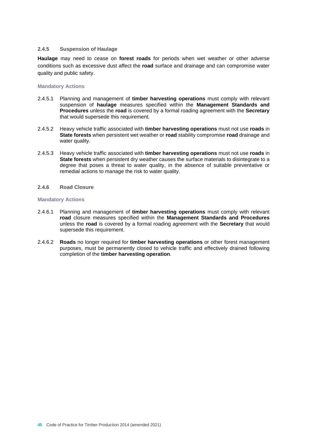# **2.4.5 Suspension of Haulage**

**Haulage** may need to cease on **forest roads** for periods when wet weather or other adverse conditions such as excessive dust affect the **road** surface and drainage and can compromise water quality and public safety.

# **Mandatory Actions**

- 2.4.5.1 Planning and management of **timber harvesting operations** must comply with relevant suspension of **haulage** measures specified within the **Management Standards and Procedures** unless the **road** is covered by a formal roading agreement with the **Secretary** that would supersede this requirement.
- 2.4.5.2 Heavy vehicle traffic associated with **timber harvesting operations** must not use **roads** in **State forests** when persistent wet weather or **road** stability compromise **road** drainage and water quality.
- 2.4.5.3 Heavy vehicle traffic associated with **timber harvesting operations** must not use **roads** in **State forests** when persistent dry weather causes the surface materials to disintegrate to a degree that poses a threat to water quality, in the absence of suitable preventative or remedial actions to manage the risk to water quality.

# **2.4.6 Road Closure**

- 2.4.6.1 Planning and management of **timber harvesting operations** must comply with relevant **road** closure measures specified within the **Management Standards and Procedures** unless the **road** is covered by a formal roading agreement with the **Secretary** that would supersede this requirement.
- 2.4.6.2 **Roads** no longer required for **timber harvesting operations** or other forest management purposes, must be permanently closed to vehicle traffic and effectively drained following completion of the **timber harvesting operation**.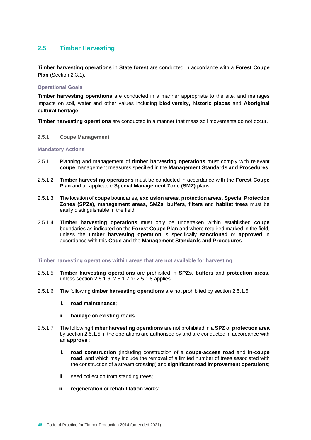# **2.5 Timber Harvesting**

**Timber harvesting operations** in **State forest** are conducted in accordance with a **Forest Coupe Plan** (Section 2.3.1).

# **Operational Goals**

**Timber harvesting operations** are conducted in a manner appropriate to the site, and manages impacts on soil, water and other values including **biodiversity, historic places** and **Aboriginal cultural heritage**.

**Timber harvesting operations** are conducted in a manner that mass soil movements do not occur.

**2.5.1 Coupe Management** 

#### **Mandatory Actions**

- 2.5.1.1 Planning and management of **timber harvesting operations** must comply with relevant **coupe** management measures specified in the **Management Standards and Procedures**.
- 2.5.1.2 **Timber harvesting operations** must be conducted in accordance with the **Forest Coupe Plan** and all applicable **Special Management Zone (SMZ)** plans.
- 2.5.1.3 The location of **coupe** boundaries, **exclusion areas**, **protection areas**, **Special Protection Zones (SPZs)**, **management areas**, **SMZs**, **buffers**, **filters** and **habitat trees** must be easily distinguishable in the field.
- 2.5.1.4 **Timber harvesting operations** must only be undertaken within established **coupe** boundaries as indicated on the **Forest Coupe Plan** and where required marked in the field, unless the **timber harvesting operation** is specifically **sanctioned** or **approved** in accordance with this **Code** and the **Management Standards and Procedures**.

#### **Timber harvesting operations within areas that are not available for harvesting**

- 2.5.1.5 **Timber harvesting operations** are prohibited in **SPZs**, **buffers** and **protection areas**, unless section 2.5.1.6, 2.5.1.7 or 2.5.1.8 applies.
- 2.5.1.6 The following **timber harvesting operations** are not prohibited by section 2.5.1.5:
	- i. **road maintenance**;
	- ii. **haulage** on **existing roads**.
- 2.5.1.7 The following **timber harvesting operations** are not prohibited in a **SPZ** or **protection area** by section 2.5.1.5, if the operations are authorised by and are conducted in accordance with an **approva**l:
	- i. **road construction** (including construction of a **coupe-access road** and **in-coupe road**, and which may include the removal of a limited number of trees associated with the construction of a stream crossing) and **significant road improvement operations**;
	- ii. seed collection from standing trees;
	- iii. **regeneration** or **rehabilitation** works;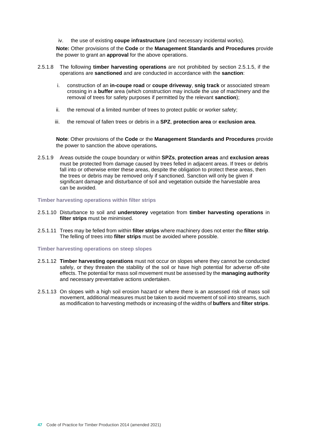iv. the use of existing **coupe infrastructure** (and necessary incidental works).

**Note:** Other provisions of the **Code** or the **Management Standards and Procedures** provide the power to grant an **approval** for the above operations.

- 2.5.1.8 The following **timber harvesting operations** are not prohibited by section 2.5.1.5, if the operations are **sanctioned** and are conducted in accordance with the **sanction**:
	- i. construction of an **in-coupe road** or **coupe driveway**, **snig track** or associated stream crossing in a **buffer** area (which construction may include the use of machinery and the removal of trees for safety purposes if permitted by the relevant **sanction**);
	- ii. the removal of a limited number of trees to protect public or worker safety;
	- iii. the removal of fallen trees or debris in a **SPZ**, **protection area** or **exclusion area**.

**Note**: Other provisions of the **Code** or the **Management Standards and Procedures** provide the power to sanction the above operations*.*

2.5.1.9 Areas outside the coupe boundary or within **SPZs**, **protection areas** and **exclusion areas** must be protected from damage caused by trees felled in adjacent areas. If trees or debris fall into or otherwise enter these areas, despite the obligation to protect these areas, then the trees or debris may be removed only if sanctioned. Sanction will only be given if significant damage and disturbance of soil and vegetation outside the harvestable area can be avoided.

#### **Timber harvesting operations within filter strips**

- 2.5.1.10 Disturbance to soil and **understorey** vegetation from **timber harvesting operations** in **filter strips** must be minimised.
- 2.5.1.11 Trees may be felled from within **filter strips** where machinery does not enter the **filter strip**. The felling of trees into **filter strips** must be avoided where possible.

#### **Timber harvesting operations on steep slopes**

- 2.5.1.12 **Timber harvesting operations** must not occur on slopes where they cannot be conducted safely, or they threaten the stability of the soil or have high potential for adverse off-site effects. The potential for mass soil movement must be assessed by the **managing authority** and necessary preventative actions undertaken.
- 2.5.1.13 On slopes with a high soil erosion hazard or where there is an assessed risk of mass soil movement, additional measures must be taken to avoid movement of soil into streams, such as modification to harvesting methods or increasing of the widths of **buffers** and **filter strips**.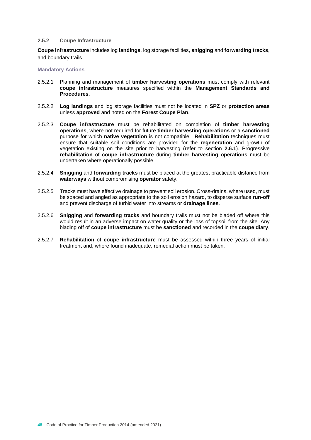#### **2.5.2 Coupe Infrastructure**

**Coupe infrastructure** includes log **landings**, log storage facilities, **snigging** and **forwarding tracks**, and boundary trails.

- 2.5.2.1 Planning and management of **timber harvesting operations** must comply with relevant **coupe infrastructure** measures specified within the **Management Standards and Procedures**.
- 2.5.2.2 **Log landings** and log storage facilities must not be located in **SPZ** or **protection areas** unless **approved** and noted on the **Forest Coupe Plan**.
- 2.5.2.3 **Coupe infrastructure** must be rehabilitated on completion of **timber harvesting operations**, where not required for future **timber harvesting operations** or a **sanctioned** purpose for which **native vegetation** is not compatible. **Rehabilitation** techniques must ensure that suitable soil conditions are provided for the **regeneration** and growth of vegetation existing on the site prior to harvesting (refer to section **2.6.1**). Progressive **rehabilitation** of **coupe infrastructure** during **timber harvesting operations** must be undertaken where operationally possible.
- 2.5.2.4 **Snigging** and **forwarding tracks** must be placed at the greatest practicable distance from **waterways** without compromising **operator** safety.
- 2.5.2.5 Tracks must have effective drainage to prevent soil erosion. Cross-drains, where used, must be spaced and angled as appropriate to the soil erosion hazard, to disperse surface **run-off** and prevent discharge of turbid water into streams or **drainage lines**.
- 2.5.2.6 **Snigging** and **forwarding tracks** and boundary trails must not be bladed off where this would result in an adverse impact on water quality or the loss of topsoil from the site. Any blading off of **coupe infrastructure** must be **sanctioned** and recorded in the **coupe diary**.
- 2.5.2.7 **Rehabilitation** of **coupe infrastructure** must be assessed within three years of initial treatment and, where found inadequate, remedial action must be taken.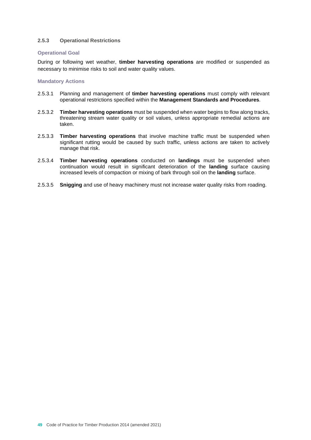# **2.5.3 Operational Restrictions**

#### **Operational Goal**

During or following wet weather, **timber harvesting operations** are modified or suspended as necessary to minimise risks to soil and water quality values.

- 2.5.3.1 Planning and management of **timber harvesting operations** must comply with relevant operational restrictions specified within the **Management Standards and Procedures**.
- 2.5.3.2 **Timber harvesting operations** must be suspended when water begins to flow along tracks, threatening stream water quality or soil values, unless appropriate remedial actions are taken.
- 2.5.3.3 **Timber harvesting operations** that involve machine traffic must be suspended when significant rutting would be caused by such traffic, unless actions are taken to actively manage that risk.
- 2.5.3.4 **Timber harvesting operations** conducted on **landings** must be suspended when continuation would result in significant deterioration of the **landing** surface causing increased levels of compaction or mixing of bark through soil on the **landing** surface.
- 2.5.3.5 **Snigging** and use of heavy machinery must not increase water quality risks from roading.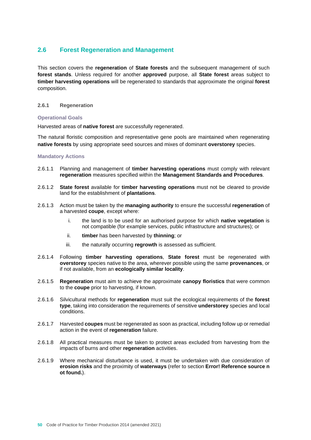# **2.6 Forest Regeneration and Management**

This section covers the **regeneration** of **State forests** and the subsequent management of such **forest stands**. Unless required for another **approved** purpose, all **State forest** areas subject to **timber harvesting operations** will be regenerated to standards that approximate the original **forest** composition.

# **2.6.1 Regeneration**

# **Operational Goals**

Harvested areas of **native forest** are successfully regenerated.

The natural floristic composition and representative gene pools are maintained when regenerating **native forests** by using appropriate seed sources and mixes of dominant **overstorey** species.

- 2.6.1.1 Planning and management of **timber harvesting operations** must comply with relevant **regeneration** measures specified within the **Management Standards and Procedures**.
- 2.6.1.2 **State forest** available for **timber harvesting operations** must not be cleared to provide land for the establishment of **plantations**.
- 2.6.1.3 Action must be taken by the **managing authority** to ensure the successful **regeneration** of a harvested **coupe**, except where:
	- i. the land is to be used for an authorised purpose for which **native vegetation** is not compatible (for example services, public infrastructure and structures); or
	- ii. **timber** has been harvested by **thinning**; or
	- iii. the naturally occurring **regrowth** is assessed as sufficient.
- 2.6.1.4 Following **timber harvesting operations**, **State forest** must be regenerated with **overstorey** species native to the area, wherever possible using the same **provenances**, or if not available, from an **ecologically similar locality**.
- 2.6.1.5 **Regeneration** must aim to achieve the approximate **canopy floristics** that were common to the **coupe** prior to harvesting, if known.
- 2.6.1.6 Silvicultural methods for **regeneration** must suit the ecological requirements of the **forest type**, taking into consideration the requirements of sensitive **understorey** species and local conditions.
- 2.6.1.7 Harvested **coupes** must be regenerated as soon as practical, including follow up or remedial action in the event of **regeneration** failure.
- 2.6.1.8 All practical measures must be taken to protect areas excluded from harvesting from the impacts of burns and other **regeneration** activities.
- 2.6.1.9 Where mechanical disturbance is used, it must be undertaken with due consideration of **erosion risks** and the proximity of **waterways** (refer to section **Error! Reference source n ot found.**).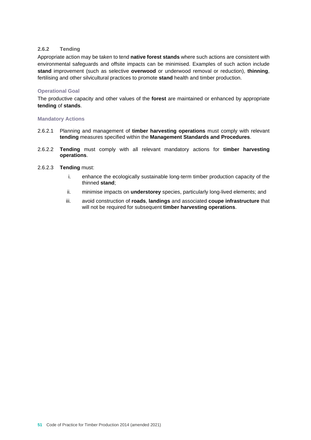# **2.6.2 Tending**

Appropriate action may be taken to tend **native forest stands** where such actions are consistent with environmental safeguards and offsite impacts can be minimised. Examples of such action include **stand** improvement (such as selective **overwood** or underwood removal or reduction), **thinning**, fertilising and other silvicultural practices to promote **stand** health and timber production.

# **Operational Goal**

The productive capacity and other values of the **forest** are maintained or enhanced by appropriate **tending** of **stands**.

# **Mandatory Actions**

- 2.6.2.1 Planning and management of **timber harvesting operations** must comply with relevant **tending** measures specified within the **Management Standards and Procedures**.
- 2.6.2.2 **Tending** must comply with all relevant mandatory actions for **timber harvesting operations**.

# 2.6.2.3 **Tending** must:

- i. enhance the ecologically sustainable long-term timber production capacity of the thinned **stand**;
- ii. minimise impacts on **understorey** species, particularly long-lived elements; and
- iii. avoid construction of **roads**, **landings** and associated **coupe infrastructure** that will not be required for subsequent **timber harvesting operations**.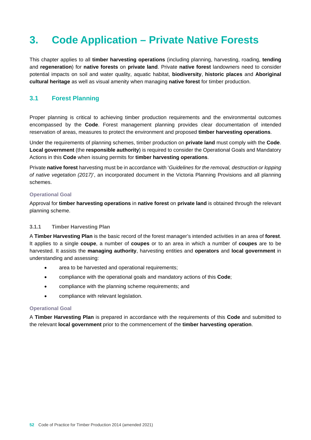# **3. Code Application – Private Native Forests**

This chapter applies to all **timber harvesting operations** (including planning, harvesting, roading, **tending** and **regeneration**) for **native forests** on **private land**. Private **native forest** landowners need to consider potential impacts on soil and water quality, aquatic habitat, **biodiversity**, **historic places** and **Aboriginal cultural heritage** as well as visual amenity when managing **native forest** for timber production.

# **3.1 Forest Planning**

Proper planning is critical to achieving timber production requirements and the environmental outcomes encompassed by the **Code**. Forest management planning provides clear documentation of intended reservation of areas, measures to protect the environment and proposed **timber harvesting operations**.

Under the requirements of planning schemes, timber production on **private land** must comply with the **Code**. **Local government** (the **responsible authority**) is required to consider the Operational Goals and Mandatory Actions in this **Code** when issuing permits for **timber harvesting operations**.

Private **native forest** harvesting must be in accordance with '*Guidelines for the removal, destruction or lopping of native vegetation (2017)*', an incorporated document in the Victoria Planning Provisions and all planning schemes.

# **Operational Goal**

Approval for **timber harvesting operations** in **native forest** on **private land** is obtained through the relevant planning scheme.

# **3.1.1 Timber Harvesting Plan**

A **Timber Harvesting Plan** is the basic record of the forest manager's intended activities in an area of **forest**. It applies to a single **coupe**, a number of **coupes** or to an area in which a number of **coupes** are to be harvested. It assists the **managing authority**, harvesting entities and **operators** and **local government** in understanding and assessing:

- area to be harvested and operational requirements;
- compliance with the operational goals and mandatory actions of this **Code**;
- compliance with the planning scheme requirements; and
- compliance with relevant legislation.

#### **Operational Goal**

A **Timber Harvesting Plan** is prepared in accordance with the requirements of this **Code** and submitted to the relevant **local government** prior to the commencement of the **timber harvesting operation**.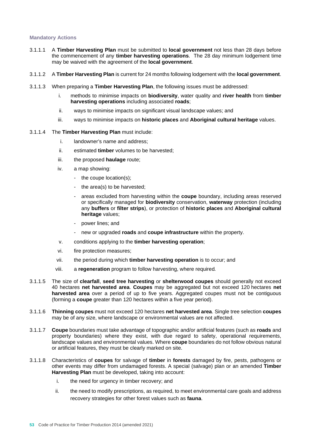## **Mandatory Actions**

- 3.1.1.1 A **Timber Harvesting Plan** must be submitted to **local government** not less than 28 days before the commencement of any **timber harvesting operations**. The 28 day minimum lodgement time may be waived with the agreement of the **local government**.
- 3.1.1.2 A **Timber Harvesting Plan** is current for 24 months following lodgement with the **local government**.
- 3.1.1.3 When preparing a **Timber Harvesting Plan**, the following issues must be addressed:
	- i. methods to minimise impacts on **biodiversity**, water quality and **river health** from **timber harvesting operations** including associated **roads**;
	- ii. ways to minimise impacts on significant visual landscape values; and
	- iii. ways to minimise impacts on **historic places** and **Aboriginal cultural heritage** values.

# 3.1.1.4 The **Timber Harvesting Plan** must include:

- i. landowner's name and address;
- ii. estimated **timber** volumes to be harvested;
- iii. the proposed **haulage** route;
- iv. a map showing:
	- the coupe location(s);
	- the area(s) to be harvested;
	- areas excluded from harvesting within the **coupe** boundary, including areas reserved or specifically managed for **biodiversity** conservation, **waterway** protection (including any **buffers** or **filter strips**), or protection of **historic places** and **Aboriginal cultural heritage** values;
	- power lines; and
	- new or upgraded **roads** and **coupe infrastructure** within the property.
- v. conditions applying to the **timber harvesting operation**;
- vi. fire protection measures;
- vii. the period during which **timber harvesting operation** is to occur; and
- viii. a **regeneration** program to follow harvesting, where required*.*
- 3.1.1.5 The size of **clearfall**, **seed tree harvesting** or **shelterwood coupes** should generally not exceed 40 hectares **net harvested area**. **Coupes** may be aggregated but not exceed 120 hectares **net harvested area** over a period of up to five years. Aggregated coupes must not be contiguous (forming a **coupe** greater than 120 hectares within a five year period).
- 3.1.1.6 **Thinning coupes** must not exceed 120 hectares **net harvested area**. Single tree selection **coupes** may be of any size, where landscape or environmental values are not affected.
- 3.1.1.7 **Coupe** boundaries must take advantage of topographic and/or artificial features (such as **roads** and property boundaries) where they exist, with due regard to safety, operational requirements, landscape values and environmental values. Where **coupe** boundaries do not follow obvious natural or artificial features, they must be clearly marked on site.
- 3.1.1.8 Characteristics of **coupes** for salvage of **timber** in **forests** damaged by fire, pests, pathogens or other events may differ from undamaged forests. A special (salvage) plan or an amended **Timber Harvesting Plan** must be developed, taking into account:
	- i. the need for urgency in timber recovery; and
	- ii. the need to modify prescriptions, as required, to meet environmental care goals and address recovery strategies for other forest values such as **fauna**.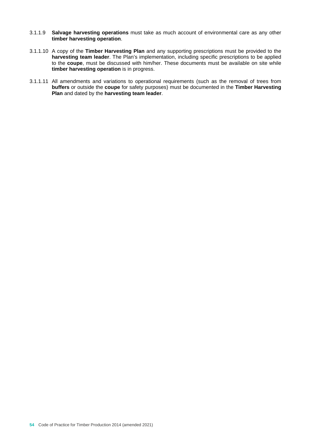- 3.1.1.9 **Salvage harvesting operations** must take as much account of environmental care as any other **timber harvesting operation**.
- 3.1.1.10 A copy of the **Timber Harvesting Plan** and any supporting prescriptions must be provided to the **harvesting team leader**. The Plan's implementation, including specific prescriptions to be applied to the **coupe**, must be discussed with him/her. These documents must be available on site while **timber harvesting operation** is in progress.
- 3.1.1.11 All amendments and variations to operational requirements (such as the removal of trees from **buffers** or outside the **coupe** for safety purposes) must be documented in the **Timber Harvesting Plan** and dated by the **harvesting team leader**.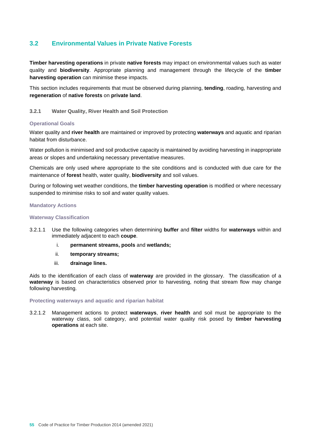# **3.2 Environmental Values in Private Native Forests**

**Timber harvesting operations** in private **native forests** may impact on environmental values such as water quality and **biodiversity**. Appropriate planning and management through the lifecycle of the **timber harvesting operation** can minimise these impacts.

This section includes requirements that must be observed during planning, **tending**, roading, harvesting and **regeneration** of **native forests** on **private land**.

# **3.2.1 Water Quality, River Health and Soil Protection**

# **Operational Goals**

Water quality and **river health** are maintained or improved by protecting **waterways** and aquatic and riparian habitat from disturbance.

Water pollution is minimised and soil productive capacity is maintained by avoiding harvesting in inappropriate areas or slopes and undertaking necessary preventative measures.

Chemicals are only used where appropriate to the site conditions and is conducted with due care for the maintenance of **forest** health, water quality, **biodiversity** and soil values.

During or following wet weather conditions, the **timber harvesting operation** is modified or where necessary suspended to minimise risks to soil and water quality values.

#### **Mandatory Actions**

#### **Waterway Classification**

- 3.2.1.1 Use the following categories when determining **buffer** and **filter** widths for **waterways** within and immediately adjacent to each **coupe**.
	- i. **permanent streams, pools** and **wetlands;**
	- ii. **temporary streams;**
	- iii. **drainage lines.**

Aids to the identification of each class of **waterway** are provided in the glossary. The classification of a **waterway** is based on characteristics observed prior to harvesting, noting that stream flow may change following harvesting.

#### **Protecting waterways and aquatic and riparian habitat**

3.2.1.2 Management actions to protect **waterways**, **river health** and soil must be appropriate to the waterway class, soil category, and potential water quality risk posed by **timber harvesting operations** at each site.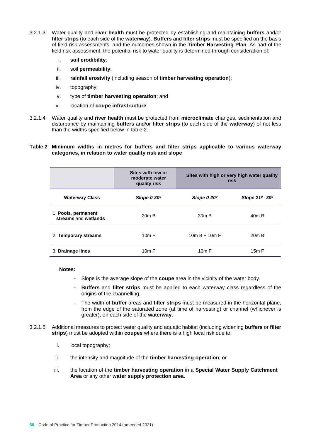- 3.2.1.3 Water quality and **river health** must be protected by establishing and maintaining **buffers** and/or **filter strips** (to each side of the **waterway**). **Buffers** and **filter strips** must be specified on the basis of field risk assessments, and the outcomes shown in the **Timber Harvesting Plan**. As part of the field risk assessment, the potential risk to water quality is determined through consideration of:
	- i. **soil erodibility**;
	- ii. soil **permeability**;
	- iii. **rainfall erosivity** (including season of **timber harvesting operation**);
	- iv. topography;
	- v. type of **timber harvesting operation**; and
	- vi. location of **coupe infrastructure**.
- 3.2.1.4 Water quality and **river health** must be protected from **microclimate** changes, sedimentation and disturbance by maintaining **buffers** and/or **filter strips** (to each side of the **waterway**) of not less than the widths specified below in table 2.

# **Table 2 Minimum widths in metres for buffers and filter strips applicable to various waterway categories, in relation to water quality risk and slope**

|                                             | Sites with low or<br>moderate water<br>quality risk | Sites with high or very high water quality<br>risk |                                   |
|---------------------------------------------|-----------------------------------------------------|----------------------------------------------------|-----------------------------------|
| <b>Waterway Class</b>                       | Slope $0-30^\circ$                                  | Slope $0-20^\circ$                                 | Slope $21^{\circ}$ - $30^{\circ}$ |
| 1. Pools, permanent<br>streams and wetlands | 20m B                                               | 30m B                                              | 40 <sub>m</sub> B                 |
| 2. Temporary streams                        | 10m F                                               | $10m B + 10m F$                                    | $20m$ B                           |
| 3. Drainage lines                           | 10m F                                               | 10m F                                              | 15m F                             |

**Notes:** 

- Slope is the average slope of the **coupe** area in the vicinity of the water body.
- **Buffers** and **filter strips** must be applied to each waterway class regardless of the origins of the channelling.
- The width of **buffer** areas and **filter strips** must be measured in the horizontal plane, from the edge of the saturated zone (at time of harvesting) or channel (whichever is greater), on each side of the **waterway**.
- 3.2.1.5 Additional measures to protect water quality and aquatic habitat (including widening **buffers** or **filter strips**) must be adopted within **coupes** where there is a high local risk due to:
	- i. local topography;
	- ii. the intensity and magnitude of the **timber harvesting operation**; or
	- iii. the location of the **timber harvesting operation** in a **Special Water Supply Catchment Area** or any other **water supply protection area**.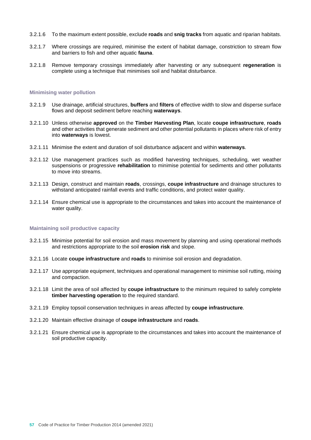- 3.2.1.6 To the maximum extent possible, exclude **roads** and **snig tracks** from aquatic and riparian habitats.
- 3.2.1.7 Where crossings are required, minimise the extent of habitat damage, constriction to stream flow and barriers to fish and other aquatic **fauna**.
- 3.2.1.8 Remove temporary crossings immediately after harvesting or any subsequent **regeneration** is complete using a technique that minimises soil and habitat disturbance.

#### **Minimising water pollution**

- 3.2.1.9 Use drainage, artificial structures, **buffers** and **filters** of effective width to slow and disperse surface flows and deposit sediment before reaching **waterways**.
- 3.2.1.10 Unless otherwise **approved** on the **Timber Harvesting Plan**, locate **coupe infrastructure**, **roads**  and other activities that generate sediment and other potential pollutants in places where risk of entry into **waterways** is lowest.
- 3.2.1.11 Minimise the extent and duration of soil disturbance adjacent and within **waterways**.
- 3.2.1.12 Use management practices such as modified harvesting techniques, scheduling, wet weather suspensions or progressive **rehabilitation** to minimise potential for sediments and other pollutants to move into streams.
- 3.2.1.13 Design, construct and maintain **roads**, crossings, **coupe infrastructure** and drainage structures to withstand anticipated rainfall events and traffic conditions, and protect water quality.
- 3.2.1.14 Ensure chemical use is appropriate to the circumstances and takes into account the maintenance of water quality.

#### **Maintaining soil productive capacity**

- 3.2.1.15 Minimise potential for soil erosion and mass movement by planning and using operational methods and restrictions appropriate to the soil **erosion risk** and slope.
- 3.2.1.16 Locate **coupe infrastructure** and **roads** to minimise soil erosion and degradation.
- 3.2.1.17 Use appropriate equipment, techniques and operational management to minimise soil rutting, mixing and compaction.
- 3.2.1.18 Limit the area of soil affected by **coupe infrastructure** to the minimum required to safely complete **timber harvesting operation** to the required standard.
- 3.2.1.19 Employ topsoil conservation techniques in areas affected by **coupe infrastructure**.
- 3.2.1.20 Maintain effective drainage of **coupe infrastructure** and **roads**.
- 3.2.1.21 Ensure chemical use is appropriate to the circumstances and takes into account the maintenance of soil productive capacity.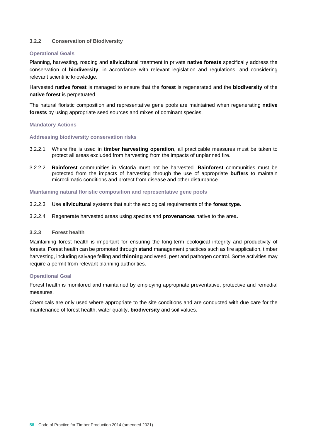# **3.2.2 Conservation of Biodiversity**

# **Operational Goals**

Planning, harvesting, roading and **silvicultural** treatment in private **native forests** specifically address the conservation of **biodiversity**, in accordance with relevant legislation and regulations, and considering relevant scientific knowledge.

Harvested **native forest** is managed to ensure that the **forest** is regenerated and the **biodiversity** of the **native forest** is perpetuated.

The natural floristic composition and representative gene pools are maintained when regenerating **native forests** by using appropriate seed sources and mixes of dominant species.

# **Mandatory Actions**

#### **Addressing biodiversity conservation risks**

- 3.2.2.1 Where fire is used in **timber harvesting operation**, all practicable measures must be taken to protect all areas excluded from harvesting from the impacts of unplanned fire.
- 3.2.2.2 **Rainforest** communities in Victoria must not be harvested. **Rainforest** communities must be protected from the impacts of harvesting through the use of appropriate **buffers** to maintain microclimatic conditions and protect from disease and other disturbance.

#### **Maintaining natural floristic composition and representative gene pools**

- 3.2.2.3 Use **silvicultural** systems that suit the ecological requirements of the **forest type**.
- 3.2.2.4 Regenerate harvested areas using species and **provenances** native to the area.

# **3.2.3 Forest health**

Maintaining forest health is important for ensuring the long-term ecological integrity and productivity of forests. Forest health can be promoted through **stand** management practices such as fire application, timber harvesting, including salvage felling and **thinning** and weed, pest and pathogen control. Some activities may require a permit from relevant planning authorities.

#### **Operational Goal**

Forest health is monitored and maintained by employing appropriate preventative, protective and remedial measures.

Chemicals are only used where appropriate to the site conditions and are conducted with due care for the maintenance of forest health, water quality, **biodiversity** and soil values.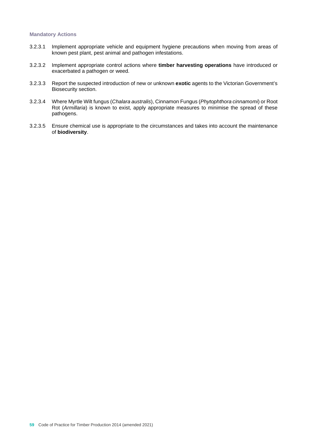- 3.2.3.1 Implement appropriate vehicle and equipment hygiene precautions when moving from areas of known pest plant, pest animal and pathogen infestations.
- 3.2.3.2 Implement appropriate control actions where **timber harvesting operations** have introduced or exacerbated a pathogen or weed.
- 3.2.3.3 Report the suspected introduction of new or unknown **exotic** agents to the Victorian Government's Biosecurity section.
- 3.2.3.4 Where Myrtle Wilt fungus (*Chalara australis*), Cinnamon Fungus (*Phytophthora cinnamomi*) or Root Rot (*Armillaria*) is known to exist, apply appropriate measures to minimise the spread of these pathogens.
- 3.2.3.5 Ensure chemical use is appropriate to the circumstances and takes into account the maintenance of **biodiversity**.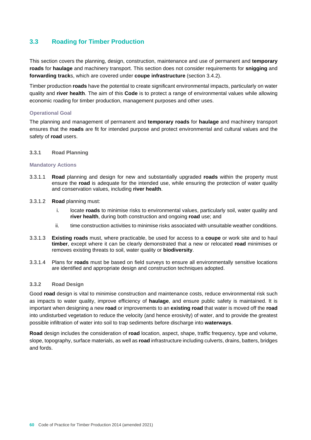# **3.3 Roading for Timber Production**

This section covers the planning, design, construction, maintenance and use of permanent and **temporary roads** for **haulage** and machinery transport. This section does not consider requirements for **snigging** and **forwarding track**s, which are covered under **coupe infrastructure** (section 3.4.2).

Timber production **roads** have the potential to create significant environmental impacts, particularly on water quality and **river health**. The aim of this **Code** is to protect a range of environmental values while allowing economic roading for timber production, management purposes and other uses.

# **Operational Goal**

The planning and management of permanent and **temporary roads** for **haulage** and machinery transport ensures that the **roads** are fit for intended purpose and protect environmental and cultural values and the safety of **road** users.

# **3.3.1 Road Planning**

#### **Mandatory Actions**

- 3.3.1.1 **Road** planning and design for new and substantially upgraded **roads** within the property must ensure the **road** is adequate for the intended use, while ensuring the protection of water quality and conservation values, including **river health**.
- 3.3.1.2 **Road** planning must:
	- i. locate **roads** to minimise risks to environmental values, particularly soil, water quality and **river health**, during both construction and ongoing **road** use; and
	- ii. time construction activities to minimise risks associated with unsuitable weather conditions.
- 3.3.1.3 **Existing roads** must, where practicable, be used for access to a **coupe** or work site and to haul **timber**, except where it can be clearly demonstrated that a new or relocated **road** minimises or removes existing threats to soil, water quality or **biodiversity**.
- 3.3.1.4 Plans for **roads** must be based on field surveys to ensure all environmentally sensitive locations are identified and appropriate design and construction techniques adopted.

# **3.3.2 Road Design**

Good **road** design is vital to minimise construction and maintenance costs, reduce environmental risk such as impacts to water quality, improve efficiency of **haulage**, and ensure public safety is maintained. It is important when designing a new **road** or improvements to an **existing road** that water is moved off the **road**  into undisturbed vegetation to reduce the velocity (and hence erosivity) of water, and to provide the greatest possible infiltration of water into soil to trap sediments before discharge into **waterways**.

**Road** design includes the consideration of **road** location, aspect, shape, traffic frequency, type and volume, slope, topography, surface materials, as well as **road** infrastructure including culverts, drains, batters, bridges and fords.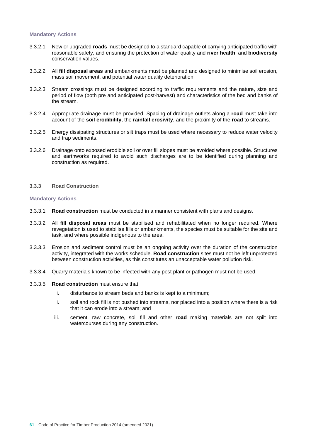#### **Mandatory Actions**

- 3.3.2.1 New or upgraded **roads** must be designed to a standard capable of carrying anticipated traffic with reasonable safety, and ensuring the protection of water quality and **river health**, and **biodiversity** conservation values.
- 3.3.2.2 All **fill disposal areas** and embankments must be planned and designed to minimise soil erosion, mass soil movement, and potential water quality deterioration.
- 3.3.2.3 Stream crossings must be designed according to traffic requirements and the nature, size and period of flow (both pre and anticipated post-harvest) and characteristics of the bed and banks of the stream.
- 3.3.2.4 Appropriate drainage must be provided. Spacing of drainage outlets along a **road** must take into account of the **soil erodibility**, the **rainfall erosivity**, and the proximity of the **road** to streams.
- 3.3.2.5 Energy dissipating structures or silt traps must be used where necessary to reduce water velocity and trap sediments.
- 3.3.2.6 Drainage onto exposed erodible soil or over fill slopes must be avoided where possible. Structures and earthworks required to avoid such discharges are to be identified during planning and construction as required.

#### **3.3.3 Road Construction**

- 3.3.3.1 **Road construction** must be conducted in a manner consistent with plans and designs.
- 3.3.3.2 All **fill disposal areas** must be stabilised and rehabilitated when no longer required. Where revegetation is used to stabilise fills or embankments, the species must be suitable for the site and task, and where possible indigenous to the area.
- 3.3.3.3 Erosion and sediment control must be an ongoing activity over the duration of the construction activity, integrated with the works schedule. **Road construction** sites must not be left unprotected between construction activities, as this constitutes an unacceptable water pollution risk.
- 3.3.3.4 Quarry materials known to be infected with any pest plant or pathogen must not be used.
- 3.3.3.5 **Road construction** must ensure that:
	- i. disturbance to stream beds and banks is kept to a minimum;
	- ii. soil and rock fill is not pushed into streams, nor placed into a position where there is a risk that it can erode into a stream; and
	- iii. cement, raw concrete, soil fill and other **road** making materials are not spilt into watercourses during any construction.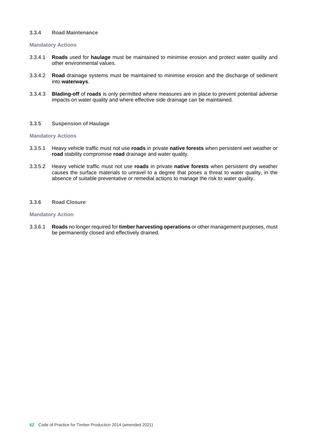#### **3.3.4 Road Maintenance**

#### **Mandatory Actions**

- 3.3.4.1 **Roads** used for **haulage** must be maintained to minimise erosion and protect water quality and other environmental values.
- 3.3.4.2 **Road** drainage systems must be maintained to minimise erosion and the discharge of sediment into **waterways**.
- 3.3.4.3 **Blading-off** of **roads** is only permitted where measures are in place to prevent potential adverse impacts on water quality and where effective side drainage can be maintained.

#### **3.3.5 Suspension of Haulage**

#### **Mandatory Actions**

- 3.3.5.1 Heavy vehicle traffic must not use **roads** in private **native forests** when persistent wet weather or **road** stability compromise **road** drainage and water quality.
- 3.3.5.2 Heavy vehicle traffic must not use **roads** in private **native forests** when persistent dry weather causes the surface materials to unravel to a degree that poses a threat to water quality, in the absence of suitable preventative or remedial actions to manage the risk to water quality.

#### **3.3.6 Road Closure**

## **Mandatory Action**

3.3.6.1 **Roads** no longer required for **timber harvesting operations** or other management purposes, must be permanently closed and effectively drained.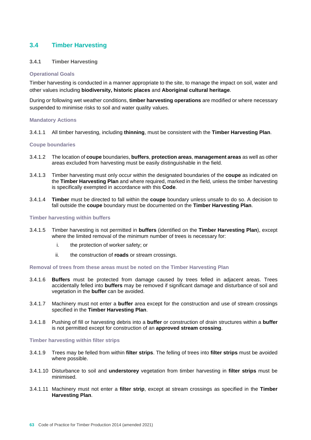# **3.4 Timber Harvesting**

# **3.4.1 Timber Harvesting**

#### **Operational Goals**

Timber harvesting is conducted in a manner appropriate to the site, to manage the impact on soil, water and other values including **biodiversity, historic places** and **Aboriginal cultural heritage**.

During or following wet weather conditions, **timber harvesting operations** are modified or where necessary suspended to minimise risks to soil and water quality values.

#### **Mandatory Actions**

3.4.1.1 All timber harvesting, including **thinning**, must be consistent with the **Timber Harvesting Plan**.

#### **Coupe boundaries**

- 3.4.1.2 The location of **coupe** boundaries, **buffers**, **protection areas**, **management areas** as well as other areas excluded from harvesting must be easily distinguishable in the field.
- 3.4.1.3 Timber harvesting must only occur within the designated boundaries of the **coupe** as indicated on the **Timber Harvesting Plan** and where required, marked in the field, unless the timber harvesting is specifically exempted in accordance with this **Code**.
- 3.4.1.4 **Timber** must be directed to fall within the **coupe** boundary unless unsafe to do so. A decision to fall outside the **coupe** boundary must be documented on the **Timber Harvesting Plan**.

#### **Timber harvesting within buffers**

- 3.4.1.5 Timber harvesting is not permitted in **buffers** (identified on the **Timber Harvesting Plan**), except where the limited removal of the minimum number of trees is necessary for:
	- i. the protection of worker safety; or
	- ii. the construction of **roads** or stream crossings.

#### **Removal of trees from these areas must be noted on the Timber Harvesting Plan**

- 3.4.1.6 **Buffers** must be protected from damage caused by trees felled in adjacent areas. Trees accidentally felled into **buffers** may be removed if significant damage and disturbance of soil and vegetation in the **buffer** can be avoided.
- 3.4.1.7 Machinery must not enter a **buffer** area except for the construction and use of stream crossings specified in the **Timber Harvesting Plan**.
- 3.4.1.8 Pushing of fill or harvesting debris into a **buffer** or construction of drain structures within a **buffer** is not permitted except for construction of an **approved stream crossing**.

#### **Timber harvesting within filter strips**

- 3.4.1.9 Trees may be felled from within **filter strips**. The felling of trees into **filter strips** must be avoided where possible.
- 3.4.1.10 Disturbance to soil and **understorey** vegetation from timber harvesting in **filter strips** must be minimised.
- 3.4.1.11 Machinery must not enter a **filter strip**, except at stream crossings as specified in the **Timber Harvesting Plan**.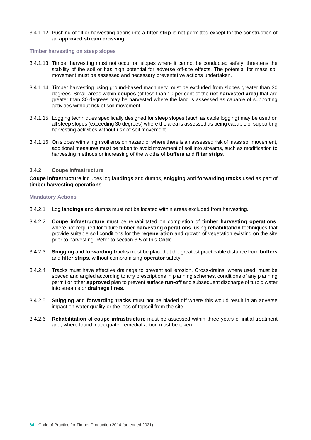#### 3.4.1.12 Pushing of fill or harvesting debris into a **filter strip** is not permitted except for the construction of an **approved stream crossing**.

#### **Timber harvesting on steep slopes**

- 3.4.1.13 Timber harvesting must not occur on slopes where it cannot be conducted safely, threatens the stability of the soil or has high potential for adverse off-site effects. The potential for mass soil movement must be assessed and necessary preventative actions undertaken.
- 3.4.1.14 Timber harvesting using ground-based machinery must be excluded from slopes greater than 30 degrees. Small areas within **coupes** (of less than 10 per cent of the **net harvested area**) that are greater than 30 degrees may be harvested where the land is assessed as capable of supporting activities without risk of soil movement.
- 3.4.1.15 Logging techniques specifically designed for steep slopes (such as cable logging) may be used on all steep slopes (exceeding 30 degrees) where the area is assessed as being capable of supporting harvesting activities without risk of soil movement.
- 3.4.1.16 On slopes with a high soil erosion hazard or where there is an assessed risk of mass soil movement, additional measures must be taken to avoid movement of soil into streams, such as modification to harvesting methods or increasing of the widths of **buffers** and **filter strips**.

#### **3.4.2 Coupe Infrastructure**

**Coupe infrastructure** includes log **landings** and dumps, **snigging** and **forwarding tracks** used as part of **timber harvesting operations**.

- 3.4.2.1 Log **landings** and dumps must not be located within areas excluded from harvesting.
- 3.4.2.2 **Coupe infrastructure** must be rehabilitated on completion of **timber harvesting operations**, where not required for future **timber harvesting operations**, using **rehabilitation** techniques that provide suitable soil conditions for the **regeneration** and growth of vegetation existing on the site prior to harvesting. Refer to section 3.5 of this **Code**.
- 3.4.2.3 **Snigging** and **forwarding tracks** must be placed at the greatest practicable distance from **buffers**  and **filter strips,** without compromising **operator** safety.
- 3.4.2.4 Tracks must have effective drainage to prevent soil erosion. Cross-drains, where used, must be spaced and angled according to any prescriptions in planning schemes, conditions of any planning permit or other **approved** plan to prevent surface **run-off** and subsequent discharge of turbid water into streams or **drainage lines**.
- 3.4.2.5 **Snigging** and **forwarding tracks** must not be bladed off where this would result in an adverse impact on water quality or the loss of topsoil from the site.
- 3.4.2.6 **Rehabilitation** of **coupe infrastructure** must be assessed within three years of initial treatment and, where found inadequate, remedial action must be taken.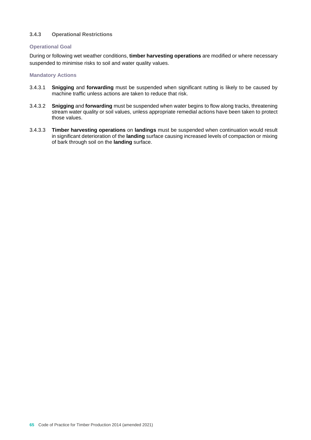# **3.4.3 Operational Restrictions**

# **Operational Goal**

During or following wet weather conditions, **timber harvesting operations** are modified or where necessary suspended to minimise risks to soil and water quality values.

- 3.4.3.1 **Snigging** and **forwarding** must be suspended when significant rutting is likely to be caused by machine traffic unless actions are taken to reduce that risk.
- 3.4.3.2 **Snigging** and **forwarding** must be suspended when water begins to flow along tracks, threatening stream water quality or soil values, unless appropriate remedial actions have been taken to protect those values.
- 3.4.3.3 **Timber harvesting operations** on **landings** must be suspended when continuation would result in significant deterioration of the **landing** surface causing increased levels of compaction or mixing of bark through soil on the **landing** surface.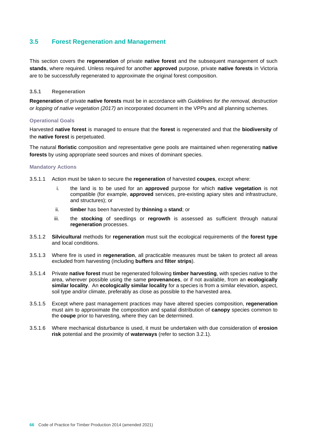# **3.5 Forest Regeneration and Management**

This section covers the **regeneration** of private **native forest** and the subsequent management of such **stands**, where required. Unless required for another **approved** purpose, private **native forests** in Victoria are to be successfully regenerated to approximate the original forest composition.

## **3.5.1 Regeneration**

**Regeneration** of private **native forests** must be in accordance with *Guidelines for the removal, destruction or lopping of native vegetation (2017)* an incorporated document in the VPPs and all planning schemes.

# **Operational Goals**

Harvested **native forest** is managed to ensure that the **forest** is regenerated and that the **biodiversity** of the **native forest** is perpetuated.

The natural **floristic** composition and representative gene pools are maintained when regenerating **native forests** by using appropriate seed sources and mixes of dominant species.

#### **Mandatory Actions**

3.5.1.1 Action must be taken to secure the **regeneration** of harvested **coupes**, except where:

- i. the land is to be used for an **approved** purpose for which **native vegetation** is not compatible (for example, **approved** services, pre-existing apiary sites and infrastructure, and structures); or
- ii. **timber** has been harvested by **thinning** a **stand**; or
- iii. the **stocking** of seedlings or **regrowth** is assessed as sufficient through natural **regeneration** processes.
- 3.5.1.2 **Silvicultural** methods for **regeneration** must suit the ecological requirements of the **forest type** and local conditions.
- 3.5.1.3 Where fire is used in **regeneration**, all practicable measures must be taken to protect all areas excluded from harvesting (including **buffers** and **filter strips**).
- 3.5.1.4 Private **native forest** must be regenerated following **timber harvesting**, with species native to the area, wherever possible using the same **provenances**, or if not available, from an **ecologically similar locality**. An **ecologically similar locality** for a species is from a similar elevation, aspect, soil type and/or climate, preferably as close as possible to the harvested area.
- 3.5.1.5 Except where past management practices may have altered species composition, **regeneration** must aim to approximate the composition and spatial distribution of **canopy** species common to the **coupe** prior to harvesting, where they can be determined.
- 3.5.1.6 Where mechanical disturbance is used, it must be undertaken with due consideration of **erosion risk** potential and the proximity of **waterways** (refer to section 3.2.1).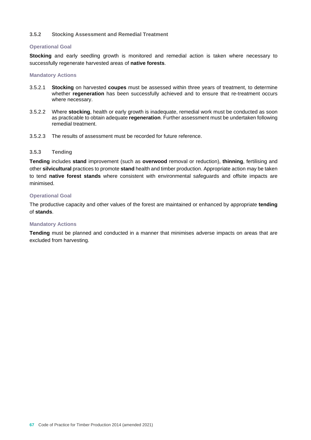# **3.5.2 Stocking Assessment and Remedial Treatment**

## **Operational Goal**

**Stocking** and early seedling growth is monitored and remedial action is taken where necessary to successfully regenerate harvested areas of **native forests**.

#### **Mandatory Actions**

- 3.5.2.1 **Stocking** on harvested **coupes** must be assessed within three years of treatment, to determine whether **regeneration** has been successfully achieved and to ensure that re-treatment occurs where necessary.
- 3.5.2.2 Where **stocking**, health or early growth is inadequate, remedial work must be conducted as soon as practicable to obtain adequate **regeneration**. Further assessment must be undertaken following remedial treatment.
- 3.5.2.3 The results of assessment must be recorded for future reference.

# **3.5.3 Tending**

**Tending** includes **stand** improvement (such as **overwood** removal or reduction), **thinning**, fertilising and other **silvicultural** practices to promote **stand** health and timber production. Appropriate action may be taken to tend **native forest stands** where consistent with environmental safeguards and offsite impacts are minimised.

# **Operational Goal**

The productive capacity and other values of the forest are maintained or enhanced by appropriate **tending** of **stands**.

#### **Mandatory Actions**

**Tending** must be planned and conducted in a manner that minimises adverse impacts on areas that are excluded from harvesting.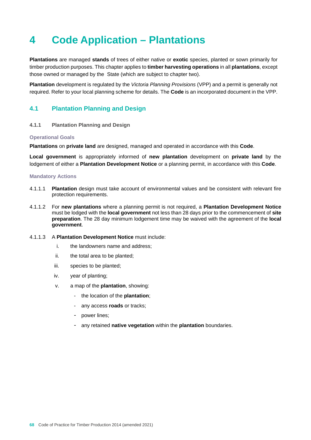# **4 Code Application – Plantations**

**Plantations** are managed **stands** of trees of either native or **exotic** species, planted or sown primarily for timber production purposes. This chapter applies to **timber harvesting operations** in all **plantations**, except those owned or managed by the State (which are subject to chapter two).

**Plantation** development is regulated by the *Victoria Planning Provisions* (VPP) and a permit is generally not required. Refer to your local planning scheme for details. The **Code** is an incorporated document in the VPP.

# **4.1 Plantation Planning and Design**

# **4.1.1 Plantation Planning and Design**

#### **Operational Goals**

**Plantations** on **private land** are designed, managed and operated in accordance with this **Code**.

**Local government** is appropriately informed of **new plantation** development on **private land** by the lodgement of either a **Plantation Development Notice** or a planning permit, in accordance with this **Code**.

- 4.1.1.1 **Plantation** design must take account of environmental values and be consistent with relevant fire protection requirements.
- 4.1.1.2 For **new plantations** where a planning permit is not required, a **Plantation Development Notice** must be lodged with the **local government** not less than 28 days prior to the commencement of **site preparation**. The 28 day minimum lodgement time may be waived with the agreement of the **local government**.
- 4.1.1.3 A **Plantation Development Notice** must include:
	- i. the landowners name and address;
	- ii. the total area to be planted;
	- iii. species to be planted;
	- iv. year of planting;
	- v. a map of the **plantation**, showing:
		- the location of the **plantation**;
		- any access **roads** or tracks;
		- power lines;
		- any retained **native vegetation** within the **plantation** boundaries.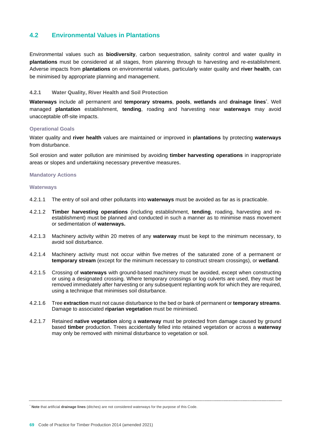# **4.2 Environmental Values in Plantations**

Environmental values such as **biodiversity**, carbon sequestration, salinity control and water quality in **plantations** must be considered at all stages, from planning through to harvesting and re-establishment. Adverse impacts from **plantations** on environmental values, particularly water quality and **river health**, can be minimised by appropriate planning and management.

# **4.2.1 Water Quality, River Health and Soil Protection**

**Waterways** include all permanent and **temporary streams**, **pools**, **wetlands** and **drainage lines**\* . Well managed **plantation** establishment, **tending**, roading and harvesting near **waterways** may avoid unacceptable off-site impacts.

#### **Operational Goals**

Water quality and **river health** values are maintained or improved in **plantations** by protecting **waterways** from disturbance.

Soil erosion and water pollution are minimised by avoiding **timber harvesting operations** in inappropriate areas or slopes and undertaking necessary preventive measures.

#### **Mandatory Actions**

#### **Waterways**

- 4.2.1.1 The entry of soil and other pollutants into **waterways** must be avoided as far as is practicable.
- 4.2.1.2 **Timber harvesting operations** (including establishment, **tending**, roading, harvesting and reestablishment) must be planned and conducted in such a manner as to minimise mass movement or sedimentation of **waterways.**
- 4.2.1.3 Machinery activity within 20 metres of any **waterway** must be kept to the minimum necessary, to avoid soil disturbance.
- 4.2.1.4 Machinery activity must not occur within five metres of the saturated zone of a permanent or **temporary stream** (except for the minimum necessary to construct stream crossings), or **wetland**.
- 4.2.1.5 Crossing of **waterways** with ground-based machinery must be avoided, except when constructing or using a designated crossing. Where temporary crossings or log culverts are used, they must be removed immediately after harvesting or any subsequent replanting work for which they are required, using a technique that minimises soil disturbance.
- 4.2.1.6 Tree **extraction** must not cause disturbance to the bed or bank of permanent or **temporary streams**. Damage to associated **riparian vegetation** must be minimised.
- 4.2.1.7 Retained **native vegetation** along a **waterway** must be protected from damage caused by ground based **timber** production. Trees accidentally felled into retained vegetation or across a **waterway** may only be removed with minimal disturbance to vegetation or soil.

\* **Note** that artificial **drainage lines** (ditches) are not considered waterways for the purpose of this Code.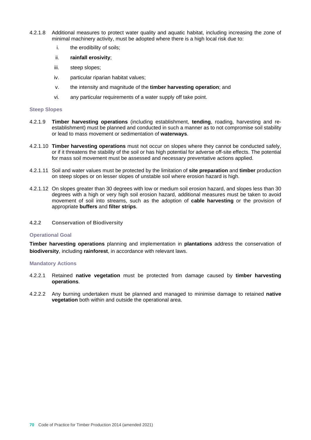- 4.2.1.8 Additional measures to protect water quality and aquatic habitat, including increasing the zone of minimal machinery activity, must be adopted where there is a high local risk due to:
	- i. the erodibility of soils;
	- ii. **rainfall erosivity**;
	- iii. steep slopes;
	- iv. particular riparian habitat values;
	- v. the intensity and magnitude of the **timber harvesting operation**; and
	- vi. any particular requirements of a water supply off take point.

#### **Steep Slopes**

- 4.2.1.9 **Timber harvesting operations** (including establishment, **tending**, roading, harvesting and reestablishment) must be planned and conducted in such a manner as to not compromise soil stability or lead to mass movement or sedimentation of **waterways**.
- 4.2.1.10 **Timber harvesting operations** must not occur on slopes where they cannot be conducted safely, or if it threatens the stability of the soil or has high potential for adverse off-site effects. The potential for mass soil movement must be assessed and necessary preventative actions applied.
- 4.2.1.11 Soil and water values must be protected by the limitation of **site preparation** and **timber** production on steep slopes or on lesser slopes of unstable soil where erosion hazard is high.
- 4.2.1.12 On slopes greater than 30 degrees with low or medium soil erosion hazard, and slopes less than 30 degrees with a high or very high soil erosion hazard, additional measures must be taken to avoid movement of soil into streams, such as the adoption of **cable harvesting** or the provision of appropriate **buffers** and **filter strips**.
- **4.2.2 Conservation of Biodiversity**

#### **Operational Goal**

**Timber harvesting operations** planning and implementation in **plantations** address the conservation of **biodiversity**, including **rainforest**, in accordance with relevant laws.

- 4.2.2.1 Retained **native vegetation** must be protected from damage caused by **timber harvesting operations**.
- 4.2.2.2 Any burning undertaken must be planned and managed to minimise damage to retained **native vegetation** both within and outside the operational area.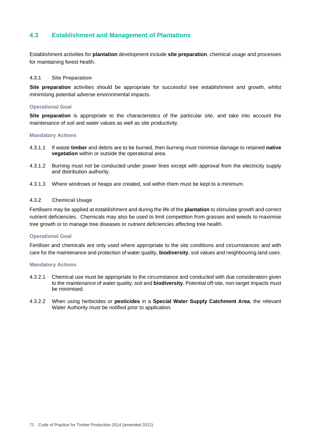# **4.3 Establishment and Management of Plantations**

Establishment activities for **plantation** development include **site preparation**, chemical usage and processes for maintaining forest health.

#### **4.3.1 Site Preparation**

**Site preparation** activities should be appropriate for successful tree establishment and growth, whilst minimising potential adverse environmental impacts.

#### **Operational Goal**

**Site preparation** is appropriate to the characteristics of the particular site, and take into account the maintenance of soil and water values as well as site productivity.

#### **Mandatory Actions**

- 4.3.1.1 If waste **timber** and debris are to be burned, then burning must minimise damage to retained **native vegetation** within or outside the operational area.
- 4.3.1.2 Burning must not be conducted under power lines except with approval from the electricity supply and distribution authority.
- 4.3.1.3 Where windrows or heaps are created, soil within them must be kept to a minimum.

#### **4.3.2 Chemical Usage**

Fertilisers may be applied at establishment and during the life of the **plantation** to stimulate growth and correct nutrient deficiencies. Chemicals may also be used to limit competition from grasses and weeds to maximise tree growth or to manage tree diseases or nutrient deficiencies affecting tree health.

#### **Operational Goal**

Fertiliser and chemicals are only used where appropriate to the site conditions and circumstances and with care for the maintenance and protection of water quality, **biodiversity**, soil values and neighbouring land uses.

- 4.3.2.1 Chemical use must be appropriate to the circumstance and conducted with due consideration given to the maintenance of water quality, soil and **biodiversity**. Potential off-site, non-target impacts must be minimised.
- 4.3.2.2 When using herbicides or **pesticides** in a **Special Water Supply Catchment Area**, the relevant Water Authority must be notified prior to application.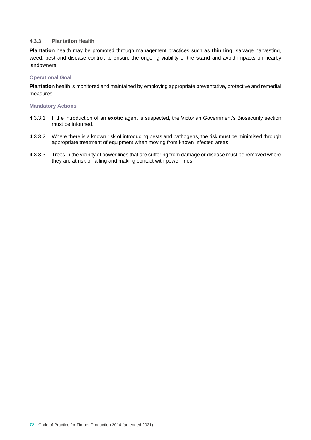#### **4.3.3 Plantation Health**

**Plantation** health may be promoted through management practices such as **thinning**, salvage harvesting, weed, pest and disease control, to ensure the ongoing viability of the **stand** and avoid impacts on nearby landowners.

#### **Operational Goal**

**Plantation** health is monitored and maintained by employing appropriate preventative, protective and remedial measures.

- 4.3.3.1 If the introduction of an **exotic** agent is suspected, the Victorian Government's Biosecurity section must be informed.
- 4.3.3.2 Where there is a known risk of introducing pests and pathogens, the risk must be minimised through appropriate treatment of equipment when moving from known infected areas.
- 4.3.3.3 Trees in the vicinity of power lines that are suffering from damage or disease must be removed where they are at risk of falling and making contact with power lines.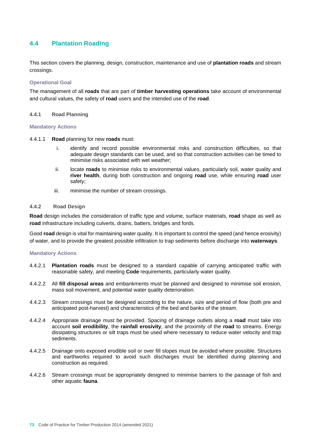## **4.4 Plantation Roading**

This section covers the planning, design, construction, maintenance and use of **plantation roads** and stream crossings.

#### **Operational Goal**

The management of all **roads** that are part of **timber harvesting operations** take account of environmental and cultural values, the safety of **road** users and the intended use of the **road**.

#### **4.4.1 Road Planning**

#### **Mandatory Actions**

4.4.1.1 **Road** planning for new **roads** must:

- identify and record possible environmental risks and construction difficulties, so that adequate design standards can be used, and so that construction activities can be timed to minimise risks associated with wet weather;
- ii. locate **roads** to minimise risks to environmental values, particularly soil, water quality and **river health**, during both construction and ongoing **road** use, while ensuring **road** user safety;
- iii. minimise the number of stream crossings.

#### **4.4.2 Road Design**

**Road** design includes the consideration of traffic type and volume, surface materials, **road** shape as well as **road** infrastructure including culverts, drains, batters, bridges and fords.

Good **road** design is vital for maintaining water quality. It is important to control the speed (and hence erosivity) of water, and to provide the greatest possible infiltration to trap sediments before discharge into **waterways**.

- 4.4.2.1 **Plantation roads** must be designed to a standard capable of carrying anticipated traffic with reasonable safety, and meeting **Code** requirements, particularly water quality.
- 4.4.2.2 All **fill disposal areas** and embankments must be planned and designed to minimise soil erosion, mass soil movement, and potential water quality deterioration.
- 4.4.2.3 Stream crossings must be designed according to the nature, size and period of flow (both pre and anticipated post-harvest) and characteristics of the bed and banks of the stream.
- 4.4.2.4 Appropriate drainage must be provided. Spacing of drainage outlets along a **road** must take into account **soil erodibility**, the **rainfall erosivity**, and the proximity of the **road** to streams. Energy dissipating structures or silt traps must be used where necessary to reduce water velocity and trap sediments.
- 4.4.2.5 Drainage onto exposed erodible soil or over fill slopes must be avoided where possible. Structures and earthworks required to avoid such discharges must be identified during planning and construction as required.
- 4.4.2.6 Stream crossings must be appropriately designed to minimise barriers to the passage of fish and other aquatic **fauna**.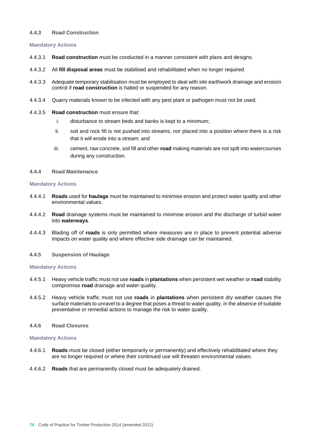#### **4.4.3 Road Construction**

#### **Mandatory Actions**

- 4.4.3.1 **Road construction** must be conducted in a manner consistent with plans and designs.
- 4.4.3.2 All **fill disposal areas** must be stabilised and rehabilitated when no longer required.
- 4.4.3.3 Adequate temporary stabilisation must be employed to deal with site earthwork drainage and erosion control if **road construction** is halted or suspended for any reason.
- 4.4.3.4 Quarry materials known to be infected with any pest plant or pathogen must not be used.
- 4.4.3.5 **Road construction** must ensure that:
	- i. disturbance to stream beds and banks is kept to a minimum;
	- ii. soil and rock fill is not pushed into streams, nor placed into a position where there is a risk that it will erode into a stream; and
	- iii. cement, raw concrete, soil fill and other **road** making materials are not spilt into watercourses during any construction.
- **4.4.4 Road Maintenance**

#### **Mandatory Actions**

- 4.4.4.1 **Roads** used for **haulage** must be maintained to minimise erosion and protect water quality and other environmental values.
- 4.4.4.2 **Road** drainage systems must be maintained to minimise erosion and the discharge of turbid water into **waterways**.
- 4.4.4.3 Blading off of **roads** is only permitted where measures are in place to prevent potential adverse impacts on water quality and where effective side drainage can be maintained.
- **4.4.5 Suspension of Haulage**

#### **Mandatory Actions**

- 4.4.5.1 Heavy vehicle traffic must not use **roads** in **plantations** when persistent wet weather or **road** stability compromise **road** drainage and water quality.
- 4.4.5.2 Heavy vehicle traffic must not use **roads** in **plantations** when persistent dry weather causes the surface materials to unravel to a degree that poses a threat to water quality, in the absence of suitable preventative or remedial actions to manage the risk to water quality.
- **4.4.6 Road Closures**

- 4.4.6.1 **Roads** must be closed (either temporarily or permanently) and effectively rehabilitated where they are no longer required or where their continued use will threaten environmental values.
- 4.4.6.2 **Roads** that are permanently closed must be adequately drained.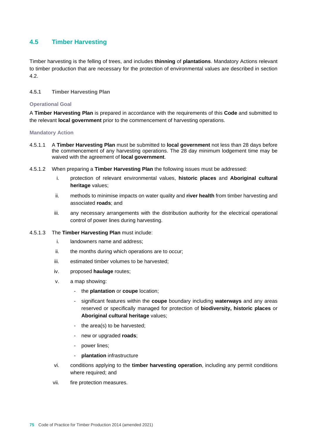## **4.5 Timber Harvesting**

Timber harvesting is the felling of trees, and includes **thinning** of **plantations**. Mandatory Actions relevant to timber production that are necessary for the protection of environmental values are described in section 4.2.

#### **4.5.1 Timber Harvesting Plan**

#### **Operational Goal**

A **Timber Harvesting Plan** is prepared in accordance with the requirements of this **Code** and submitted to the relevant **local government** prior to the commencement of harvesting operations.

- 4.5.1.1 A **Timber Harvesting Plan** must be submitted to **local government** not less than 28 days before the commencement of any harvesting operations. The 28 day minimum lodgement time may be waived with the agreement of **local government**.
- 4.5.1.2 When preparing a **Timber Harvesting Plan** the following issues must be addressed:
	- i. protection of relevant environmental values, **historic places** and **Aboriginal cultural heritage** values;
	- ii. methods to minimise impacts on water quality and **river health** from timber harvesting and associated **roads**; and
	- iii. any necessary arrangements with the distribution authority for the electrical operational control of power lines during harvesting.
- 4.5.1.3 The **Timber Harvesting Plan** must include:
	- i. landowners name and address;
	- ii. the months during which operations are to occur;
	- iii. estimated timber volumes to be harvested;
	- iv. proposed **haulage** routes;
	- v. a map showing:
		- the **plantation** or **coupe** location;
		- significant features within the **coupe** boundary including **waterways** and any areas reserved or specifically managed for protection of **biodiversity, historic places** or **Aboriginal cultural heritage** values;
		- the area(s) to be harvested;
		- new or upgraded **roads**;
		- power lines;
		- **plantation** infrastructure
	- vi. conditions applying to the **timber harvesting operation**, including any permit conditions where required; and
	- vii. fire protection measures.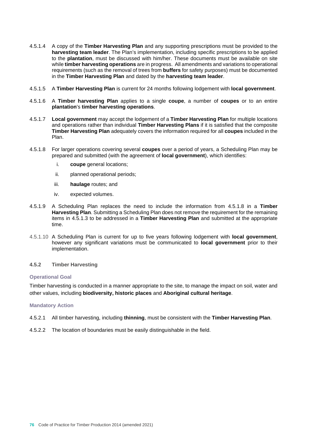- 4.5.1.4 A copy of the **Timber Harvesting Plan** and any supporting prescriptions must be provided to the **harvesting team leader**. The Plan's implementation, including specific prescriptions to be applied to the **plantation**, must be discussed with him/her. These documents must be available on site while **timber harvesting operations** are in progress. All amendments and variations to operational requirements (such as the removal of trees from **buffers** for safety purposes) must be documented in the **Timber Harvesting Plan** and dated by the **harvesting team leader**.
- 4.5.1.5 A **Timber Harvesting Plan** is current for 24 months following lodgement with **local government**.
- 4.5.1.6 A **Timber harvesting Plan** applies to a single **coupe**, a number of **coupes** or to an entire **plantation**'s **timber harvesting operations**.
- 4.5.1.7 **Local government** may accept the lodgement of a **Timber Harvesting Plan** for multiple locations and operations rather than individual **Timber Harvesting Plans** if it is satisfied that the composite **Timber Harvesting Plan** adequately covers the information required for all **coupes** included in the Plan.
- 4.5.1.8 For larger operations covering several **coupes** over a period of years, a Scheduling Plan may be prepared and submitted (with the agreement of **local government**), which identifies:
	- i. **coupe** general locations;
	- ii. planned operational periods;
	- iii. **haulage** routes; and
	- iv. expected volumes.
- 4.5.1.9 A Scheduling Plan replaces the need to include the information from 4.5.1.8 in a **Timber Harvesting Plan**. Submitting a Scheduling Plan does not remove the requirement for the remaining items in 4.5.1.3 to be addressed in a **Timber Harvesting Plan** and submitted at the appropriate time.
- 4.5.1.10 A Scheduling Plan is current for up to five years following lodgement with **local government**, however any significant variations must be communicated to **local government** prior to their implementation.
- **4.5.2 Timber Harvesting**

#### **Operational Goal**

Timber harvesting is conducted in a manner appropriate to the site, to manage the impact on soil, water and other values, including **biodiversity, historic places** and **Aboriginal cultural heritage**.

- 4.5.2.1 All timber harvesting, including **thinning**, must be consistent with the **Timber Harvesting Plan**.
- 4.5.2.2 The location of boundaries must be easily distinguishable in the field.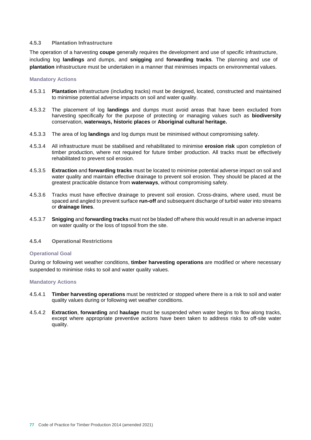#### **4.5.3 Plantation Infrastructure**

The operation of a harvesting **coupe** generally requires the development and use of specific infrastructure, including log **landings** and dumps, and **snigging** and **forwarding tracks**. The planning and use of **plantation** infrastructure must be undertaken in a manner that minimises impacts on environmental values.

#### **Mandatory Actions**

- 4.5.3.1 **Plantation** infrastructure (including tracks) must be designed, located, constructed and maintained to minimise potential adverse impacts on soil and water quality.
- 4.5.3.2 The placement of log **landings** and dumps must avoid areas that have been excluded from harvesting specifically for the purpose of protecting or managing values such as **biodiversity** conservation, **waterways, historic places** or **Aboriginal cultural heritage.**
- 4.5.3.3 The area of log **landings** and log dumps must be minimised without compromising safety.
- 4.5.3.4 All infrastructure must be stabilised and rehabilitated to minimise **erosion risk** upon completion of timber production, where not required for future timber production. All tracks must be effectively rehabilitated to prevent soil erosion.
- 4.5.3.5 **Extraction** and **forwarding tracks** must be located to minimise potential adverse impact on soil and water quality and maintain effective drainage to prevent soil erosion. They should be placed at the greatest practicable distance from **waterways**, without compromising safety.
- 4.5.3.6 Tracks must have effective drainage to prevent soil erosion. Cross-drains, where used, must be spaced and angled to prevent surface **run-off** and subsequent discharge of turbid water into streams or **drainage lines**.
- 4.5.3.7 **Snigging** and **forwarding tracks** must not be bladed off where this would result in an adverse impact on water quality or the loss of topsoil from the site.

#### **4.5.4 Operational Restrictions**

#### **Operational Goal**

During or following wet weather conditions, **timber harvesting operations** are modified or where necessary suspended to minimise risks to soil and water quality values.

- 4.5.4.1 **Timber harvesting operations** must be restricted or stopped where there is a risk to soil and water quality values during or following wet weather conditions.
- 4.5.4.2 **Extraction**, **forwarding** and **haulage** must be suspended when water begins to flow along tracks, except where appropriate preventive actions have been taken to address risks to off-site water quality.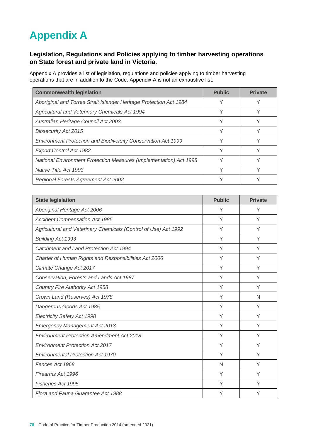# **Appendix A**

## **Legislation, Regulations and Policies applying to timber harvesting operations on State forest and private land in Victoria.**

Appendix A provides a list of legislation, regulations and policies applying to timber harvesting operations that are in addition to the Code. Appendix A is not an exhaustive list.

| <b>Commonwealth legislation</b>                                           | <b>Public</b> | <b>Private</b> |
|---------------------------------------------------------------------------|---------------|----------------|
| Aboriginal and Torres Strait Islander Heritage Protection Act 1984        |               |                |
| Agricultural and Veterinary Chemicals Act 1994                            | v             |                |
| Australian Heritage Council Act 2003                                      |               |                |
| <b>Biosecurity Act 2015</b>                                               |               |                |
| Environment Protection and Biodiversity Conservation Act 1999             |               |                |
| <b>Export Control Act 1982</b>                                            |               |                |
| <b>National Environment Protection Measures (Implementation) Act 1998</b> |               |                |
| Native Title Act 1993                                                     | v             |                |
| <b>Regional Forests Agreement Act 2002</b>                                |               |                |

| <b>State legislation</b>                                        | <b>Public</b> | <b>Private</b> |
|-----------------------------------------------------------------|---------------|----------------|
| Aboriginal Heritage Act 2006                                    | Υ             | Υ              |
| <b>Accident Compensation Act 1985</b>                           | Υ             | Y              |
| Agricultural and Veterinary Chemicals (Control of Use) Act 1992 | Υ             | Υ              |
| <b>Building Act 1993</b>                                        | Y             | Y              |
| Catchment and Land Protection Act 1994                          | Υ             | Y              |
| Charter of Human Rights and Responsibilities Act 2006           | Υ             | Y              |
| Climate Change Act 2017                                         | Υ             | Y              |
| Conservation, Forests and Lands Act 1987                        | Υ             | Y              |
| <b>Country Fire Authority Act 1958</b>                          | Y             | Y              |
| Crown Land (Reserves) Act 1978                                  | Υ             | N              |
| Dangerous Goods Act 1985                                        | Υ             | Y              |
| <b>Electricity Safety Act 1998</b>                              | Υ             | Y              |
| <b>Emergency Management Act 2013</b>                            | Υ             | Y              |
| <b>Environment Protection Amendment Act 2018</b>                | Υ             | Y              |
| <b>Environment Protection Act 2017</b>                          | Υ             | Y              |
| <b>Environmental Protection Act 1970</b>                        | Υ             | Y              |
| Fences Act 1968                                                 | N             | Y              |
| Firearms Act 1996                                               | Υ             | Y              |
| Fisheries Act 1995                                              | Υ             | Υ              |
| Flora and Fauna Guarantee Act 1988                              | Υ             | Υ              |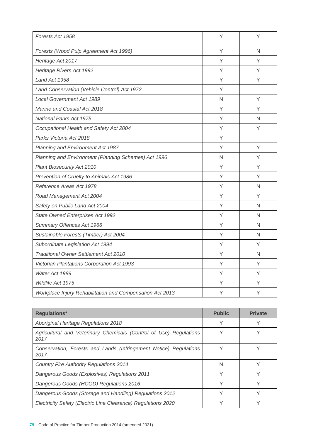| Forests Act 1958                                          | Υ | Υ |
|-----------------------------------------------------------|---|---|
| Forests (Wood Pulp Agreement Act 1996)                    | Y | N |
| Heritage Act 2017                                         | Υ | Y |
| Heritage Rivers Act 1992                                  | Υ | Y |
| Land Act 1958                                             | Υ | Υ |
| Land Conservation (Vehicle Control) Act 1972              | Y |   |
| <b>Local Government Act 1989</b>                          | N | Y |
| Marine and Coastal Act 2018                               | Y | Υ |
| <b>National Parks Act 1975</b>                            | Υ | N |
| Occupational Health and Safety Act 2004                   | Y | Y |
| Parks Victoria Act 2018                                   | Y |   |
| Planning and Environment Act 1987                         | Υ | Y |
| Planning and Environment (Planning Schemes) Act 1996      | N | Y |
| Plant Biosecurity Act 2010                                | Y | Υ |
| Prevention of Cruelty to Animals Act 1986                 | Υ | Y |
| Reference Areas Act 1978                                  | Y | N |
| Road Management Act 2004                                  | Y | Y |
| Safety on Public Land Act 2004                            | Υ | N |
| State Owned Enterprises Act 1992                          | Υ | N |
| Summary Offences Act 1966                                 | Y | N |
| Sustainable Forests (Timber) Act 2004                     | Υ | N |
| Subordinate Legislation Act 1994                          | Υ | Υ |
| <b>Traditional Owner Settlement Act 2010</b>              | Υ | N |
| Victorian Plantations Corporation Act 1993                | Υ | Y |
| Water Act 1989                                            | Υ | Y |
| Wildlife Act 1975                                         | Υ | Y |
| Workplace Injury Rehabilitation and Compensation Act 2013 | Y | Υ |

| <b>Regulations*</b>                                                        | <b>Public</b> | <b>Private</b> |
|----------------------------------------------------------------------------|---------------|----------------|
| Aboriginal Heritage Regulations 2018                                       |               | $\checkmark$   |
| Agricultural and Veterinary Chemicals (Control of Use) Regulations<br>2017 |               |                |
| Conservation, Forests and Lands (Infringement Notice) Regulations<br>2017  | Υ             |                |
| <b>Country Fire Authority Regulations 2014</b>                             | N             |                |
| Dangerous Goods (Explosives) Regulations 2011                              | v             | v              |
| Dangerous Goods (HCGD) Regulations 2016                                    | v             |                |
| Dangerous Goods (Storage and Handling) Regulations 2012                    |               |                |
| Electricity Safety (Electric Line Clearance) Regulations 2020              |               |                |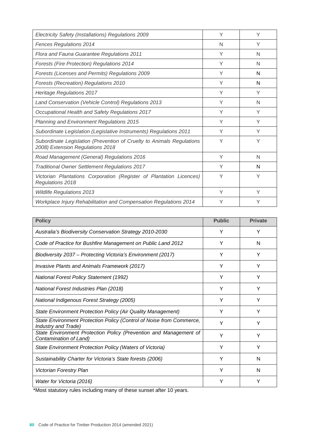| Electricity Safety (Installations) Regulations 2009                                                       | Υ | Υ |
|-----------------------------------------------------------------------------------------------------------|---|---|
| <b>Fences Regulations 2014</b>                                                                            | N | Υ |
| Flora and Fauna Guarantee Regulations 2011                                                                | Υ | N |
| <b>Forests (Fire Protection) Regulations 2014</b>                                                         | Υ | N |
| Forests (Licenses and Permits) Regulations 2009                                                           | Υ | N |
| <b>Forests (Recreation) Regulations 2010</b>                                                              | Υ | N |
| <b>Heritage Regulations 2017</b>                                                                          | Υ | Υ |
| Land Conservation (Vehicle Control) Regulations 2013                                                      | Υ | N |
| Occupational Health and Safety Regulations 2017                                                           | Υ | Y |
| Planning and Environment Regulations 2015                                                                 | Υ | Υ |
| Subordinate Legislation (Legislative Instruments) Regulations 2011                                        | Υ | Υ |
| Subordinate Legislation (Prevention of Cruelty to Animals Regulations<br>2008) Extension Regulations 2018 | Υ | Υ |
| Road Management (General) Regulations 2016                                                                | Υ | N |
| <b>Traditional Owner Settlement Regulations 2017</b>                                                      | Υ | N |
| Victorian Plantations Corporation (Register of Plantation Licences)<br>Regulations 2018                   | Y | Υ |
| <b>Wildlife Regulations 2013</b>                                                                          | Υ | Υ |
| Workplace Injury Rehabilitation and Compensation Regulations 2014                                         | Υ |   |

| <b>Policy</b>                                                                               | <b>Public</b> | <b>Private</b> |
|---------------------------------------------------------------------------------------------|---------------|----------------|
| Australia's Biodiversity Conservation Strategy 2010-2030                                    | Y             | Υ              |
| Code of Practice for Bushfire Management on Public Land 2012                                | Υ             | N              |
| Biodiversity 2037 - Protecting Victoria's Environment (2017)                                | Υ             | Y              |
| <b>Invasive Plants and Animals Framework (2017)</b>                                         | Υ             | Υ              |
| <b>National Forest Policy Statement (1992)</b>                                              | Υ             | Υ              |
| National Forest Industries Plan (2018)                                                      | Y             | Υ              |
| National Indigenous Forest Strategy (2005)                                                  | Υ             | Υ              |
| State Environment Protection Policy (Air Quality Management)                                | Υ             | Y              |
| State Environment Protection Policy (Control of Noise from Commerce,<br>Industry and Trade) | Υ             | Υ              |
| State Environment Protection Policy (Prevention and Management of<br>Contamination of Land) | Υ             | Υ              |
| State Environment Protection Policy (Waters of Victoria)                                    | Υ             | Υ              |
| Sustainability Charter for Victoria's State forests (2006)                                  | Υ             | N              |
| <b>Victorian Forestry Plan</b>                                                              | Υ             | N              |
| Water for Victoria (2016)                                                                   | Υ             | Y              |

\*Most statutory rules including many of these sunset after 10 years.